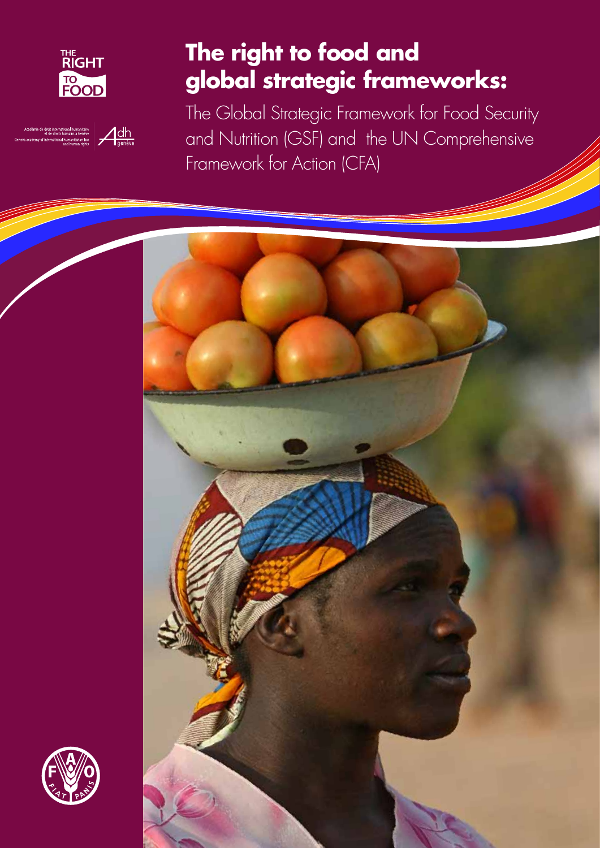

adémie de droit international humanitaire<br>cademy of international humanitaire als Genève<br>and humani rights de genève

# **The right to food and global strategic frameworks:**

The Global Strategic Framework for Food Security and Nutrition (GSF) and the UN Comprehensive Framework for Action (CFA)



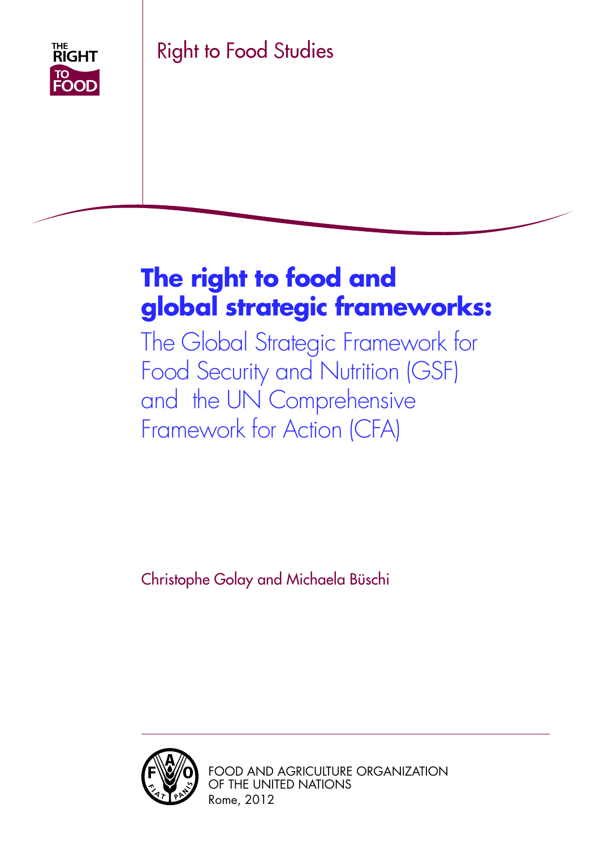

Right to Food Studies

# **The right to food and global strategic frameworks:**

The Global Strategic Framework for Food Security and Nutrition (GSF) and the UN Comprehensive Framework for Action (CFA)

Christophe Golay and Michaela Büschi



Food and Agriculture Organization of the United Nations Rome, 2012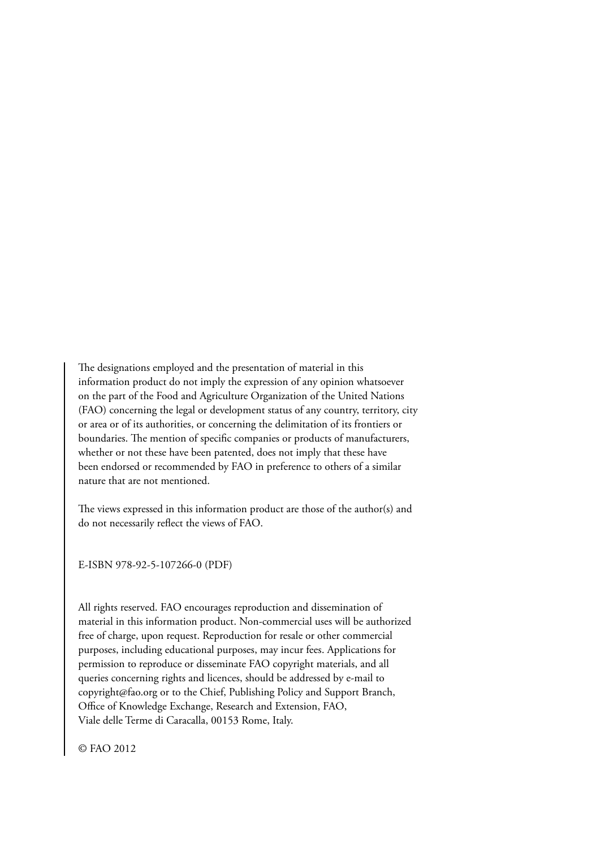The designations employed and the presentation of material in this information product do not imply the expression of any opinion whatsoever on the part of the Food and Agriculture Organization of the United Nations (FAO) concerning the legal or development status of any country, territory, city or area or of its authorities, or concerning the delimitation of its frontiers or boundaries. The mention of specific companies or products of manufacturers, whether or not these have been patented, does not imply that these have been endorsed or recommended by FAO in preference to others of a similar nature that are not mentioned.

The views expressed in this information product are those of the author(s) and do not necessarily reflect the views of FAO.

E-ISBN 978-92-5-107266-0 (PDF)

All rights reserved. FAO encourages reproduction and dissemination of material in this information product. Non-commercial uses will be authorized free of charge, upon request. Reproduction for resale or other commercial purposes, including educational purposes, may incur fees. Applications for permission to reproduce or disseminate FAO copyright materials, and all queries concerning rights and licences, should be addressed by e-mail to copyright@fao.org or to the Chief, Publishing Policy and Support Branch, Office of Knowledge Exchange, Research and Extension, FAO, Viale delle Terme di Caracalla, 00153 Rome, Italy.

© FAO 2012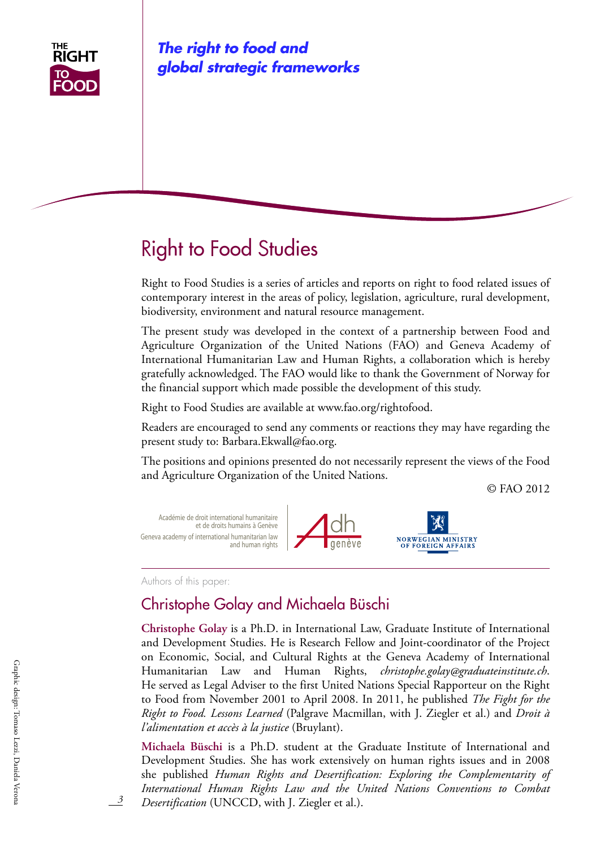

*The right to food and global strategic frameworks*

# Right to Food Studies

Right to Food Studies is a series of articles and reports on right to food related issues of contemporary interest in the areas of policy, legislation, agriculture, rural development, biodiversity, environment and natural resource management.

The present study was developed in the context of a partnership between Food and Agriculture Organization of the United Nations (FAO) and Geneva Academy of International Humanitarian Law and Human Rights, a collaboration which is hereby gratefully acknowledged. The FAO would like to thank the Government of Norway for the financial support which made possible the development of this study.

Right to Food Studies are available at www.fao.org/rightofood.

Readers are encouraged to send any comments or reactions they may have regarding the present study to: Barbara.Ekwall@fao.org.

The positions and opinions presented do not necessarily represent the views of the Food and Agriculture Organization of the United Nations.

© FAO 2012



Authors of this paper:

## Christophe Golay and Michaela Büschi

**Christophe Golay** is a Ph.D. in International Law, Graduate Institute of International and Development Studies. He is Research Fellow and Joint-coordinator of the Project on Economic, Social, and Cultural Rights at the Geneva Academy of International Humanitarian Law and Human Rights, *christophe.golay@graduateinstitute.ch*. He served as Legal Adviser to the first United Nations Special Rapporteur on the Right to Food from November 2001 to April 2008. In 2011, he published *The Fight for the Right to Food. Lessons Learned* (Palgrave Macmillan, with J. Ziegler et al.) and *Droit à l'alimentation et accès à la justice* (Bruylant).

**Michaela Büschi** is a Ph.D. student at the Graduate Institute of International and Development Studies. She has work extensively on human rights issues and in 2008 she published *Human Rights and Desertification: Exploring the Complementarity of International Human Rights Law and the United Nations Conventions to Combat Desertification* (UNCCD, with J. Ziegler et al.).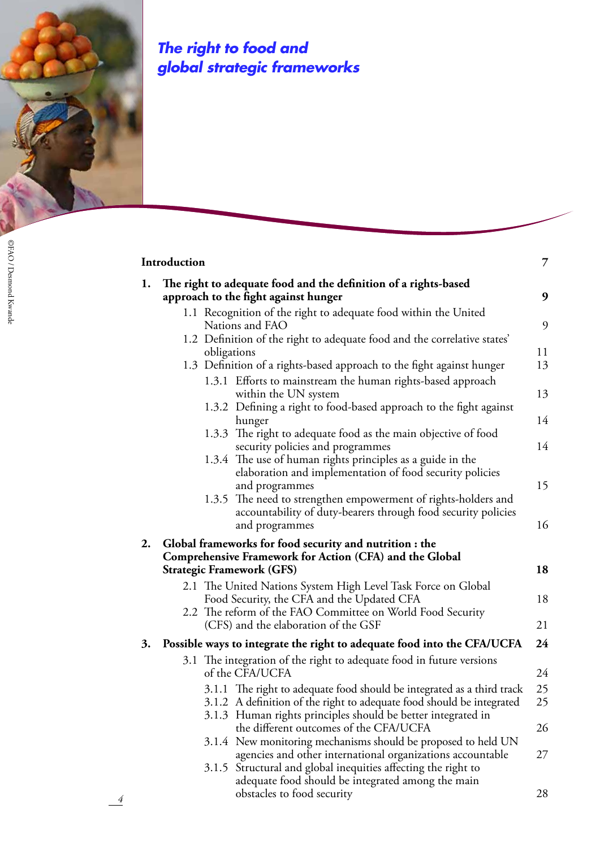

*4*

# *The right to food and global strategic frameworks*

| 1. | The right to adequate food and the definition of a rights-based                                          |  |
|----|----------------------------------------------------------------------------------------------------------|--|
|    | approach to the fight against hunger                                                                     |  |
|    | 1.1 Recognition of the right to adequate food within the United                                          |  |
|    | Nations and FAO                                                                                          |  |
|    | 1.2 Definition of the right to adequate food and the correlative states'                                 |  |
|    | obligations<br>1.3 Definition of a rights-based approach to the fight against hunger                     |  |
|    | 1.3.1 Efforts to mainstream the human rights-based approach<br>within the UN system                      |  |
|    | 1.3.2 Defining a right to food-based approach to the fight against                                       |  |
|    | hunger                                                                                                   |  |
|    | 1.3.3 The right to adequate food as the main objective of food                                           |  |
|    | security policies and programmes                                                                         |  |
|    | 1.3.4 The use of human rights principles as a guide in the                                               |  |
|    | elaboration and implementation of food security policies                                                 |  |
|    | and programmes                                                                                           |  |
|    | 1.3.5 The need to strengthen empowerment of rights-holders and                                           |  |
|    | accountability of duty-bearers through food security policies                                            |  |
|    | and programmes                                                                                           |  |
| 2. | Global frameworks for food security and nutrition : the                                                  |  |
|    | <b>Comprehensive Framework for Action (CFA) and the Global</b>                                           |  |
|    | <b>Strategic Framework (GFS)</b>                                                                         |  |
|    | 2.1 The United Nations System High Level Task Force on Global                                            |  |
|    | Food Security, the CFA and the Updated CFA<br>2.2 The reform of the FAO Committee on World Food Security |  |
|    | (CFS) and the elaboration of the GSF                                                                     |  |
|    |                                                                                                          |  |
| 3. | Possible ways to integrate the right to adequate food into the CFA/UCFA                                  |  |
|    | 3.1 The integration of the right to adequate food in future versions                                     |  |
|    | of the CFA/UCFA                                                                                          |  |
|    | 3.1.1 The right to adequate food should be integrated as a third track                                   |  |
|    | 3.1.2 A definition of the right to adequate food should be integrated                                    |  |
|    | 3.1.3 Human rights principles should be better integrated in<br>the different outcomes of the CFA/UCFA   |  |
|    | 3.1.4 New monitoring mechanisms should be proposed to held UN                                            |  |
|    | agencies and other international organizations accountable                                               |  |
|    | 3.1.5 Structural and global inequities affecting the right to                                            |  |
|    | adequate food should be integrated among the main                                                        |  |
|    | obstacles to food security                                                                               |  |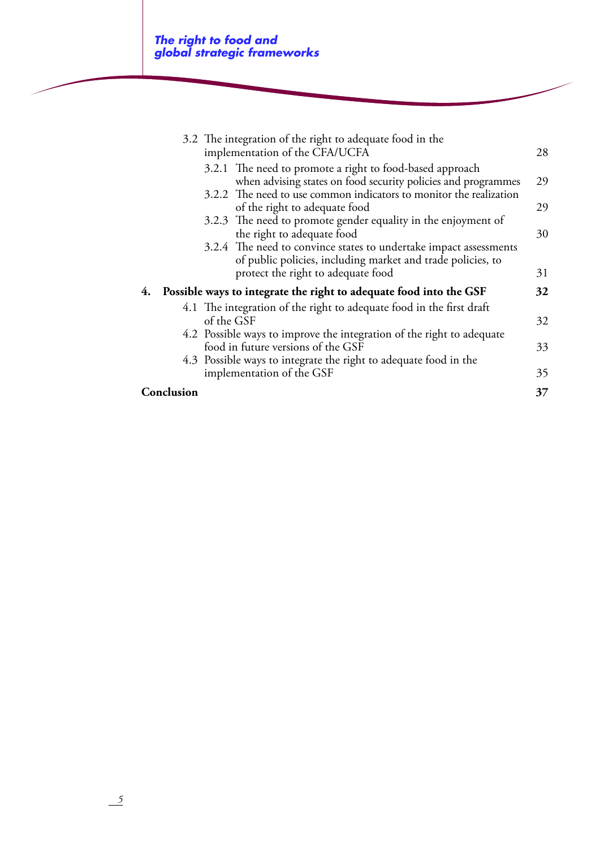|            | 3.2 The integration of the right to adequate food in the<br>implementation of the CFA/UCFA                                       | 28 |
|------------|----------------------------------------------------------------------------------------------------------------------------------|----|
|            |                                                                                                                                  |    |
|            | 3.2.1 The need to promote a right to food-based approach                                                                         |    |
|            | when advising states on food security policies and programmes                                                                    | 29 |
|            | 3.2.2 The need to use common indicators to monitor the realization                                                               |    |
|            | of the right to adequate food                                                                                                    | 29 |
|            | 3.2.3 The need to promote gender equality in the enjoyment of<br>the right to adequate food                                      | 30 |
|            | 3.2.4 The need to convince states to undertake impact assessments<br>of public policies, including market and trade policies, to |    |
|            | protect the right to adequate food                                                                                               | 31 |
| 4.         | Possible ways to integrate the right to adequate food into the GSF                                                               | 32 |
|            | 4.1 The integration of the right to adequate food in the first draft                                                             |    |
| of the GSF |                                                                                                                                  | 32 |
|            | 4.2 Possible ways to improve the integration of the right to adequate                                                            |    |
|            | food in future versions of the GSF                                                                                               | 33 |
|            | 4.3 Possible ways to integrate the right to adequate food in the                                                                 |    |
|            | implementation of the GSF                                                                                                        | 35 |
| Conclusion |                                                                                                                                  | 37 |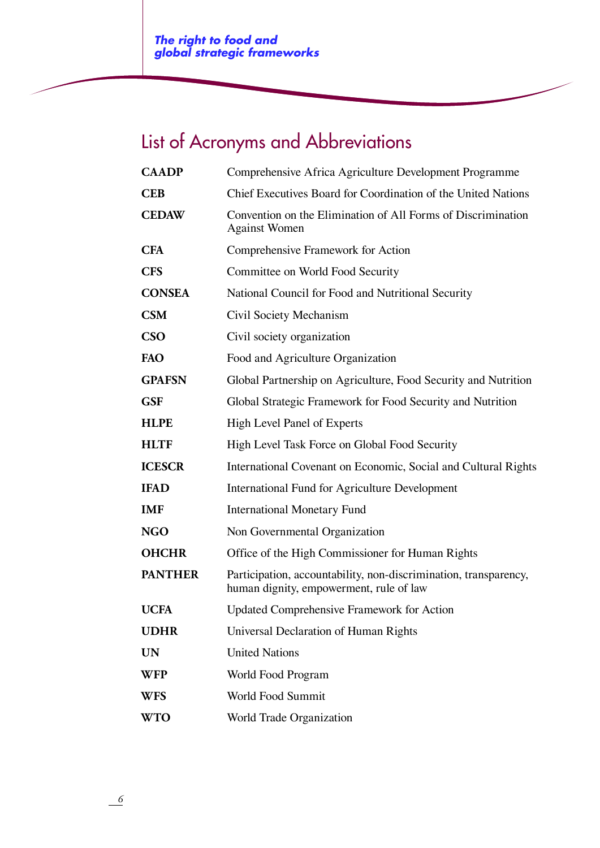# List of Acronyms and Abbreviations

| <b>CAADP</b>   | Comprehensive Africa Agriculture Development Programme                                                      |
|----------------|-------------------------------------------------------------------------------------------------------------|
| <b>CEB</b>     | Chief Executives Board for Coordination of the United Nations                                               |
| <b>CEDAW</b>   | Convention on the Elimination of All Forms of Discrimination<br><b>Against Women</b>                        |
| <b>CFA</b>     | Comprehensive Framework for Action                                                                          |
| <b>CFS</b>     | Committee on World Food Security                                                                            |
| <b>CONSEA</b>  | National Council for Food and Nutritional Security                                                          |
| <b>CSM</b>     | Civil Society Mechanism                                                                                     |
| CSO            | Civil society organization                                                                                  |
| FAO            | Food and Agriculture Organization                                                                           |
| <b>GPAFSN</b>  | Global Partnership on Agriculture, Food Security and Nutrition                                              |
| <b>GSF</b>     | Global Strategic Framework for Food Security and Nutrition                                                  |
| <b>HLPE</b>    | High Level Panel of Experts                                                                                 |
| <b>HLTF</b>    | High Level Task Force on Global Food Security                                                               |
| <b>ICESCR</b>  | International Covenant on Economic, Social and Cultural Rights                                              |
| <b>IFAD</b>    | <b>International Fund for Agriculture Development</b>                                                       |
| <b>IMF</b>     | <b>International Monetary Fund</b>                                                                          |
| <b>NGO</b>     | Non Governmental Organization                                                                               |
| <b>OHCHR</b>   | Office of the High Commissioner for Human Rights                                                            |
| <b>PANTHER</b> | Participation, accountability, non-discrimination, transparency,<br>human dignity, empowerment, rule of law |
| <b>UCFA</b>    | <b>Updated Comprehensive Framework for Action</b>                                                           |
| <b>UDHR</b>    | Universal Declaration of Human Rights                                                                       |
| <b>UN</b>      | <b>United Nations</b>                                                                                       |
| <b>WFP</b>     | World Food Program                                                                                          |
| <b>WFS</b>     | World Food Summit                                                                                           |
| <b>WTO</b>     | World Trade Organization                                                                                    |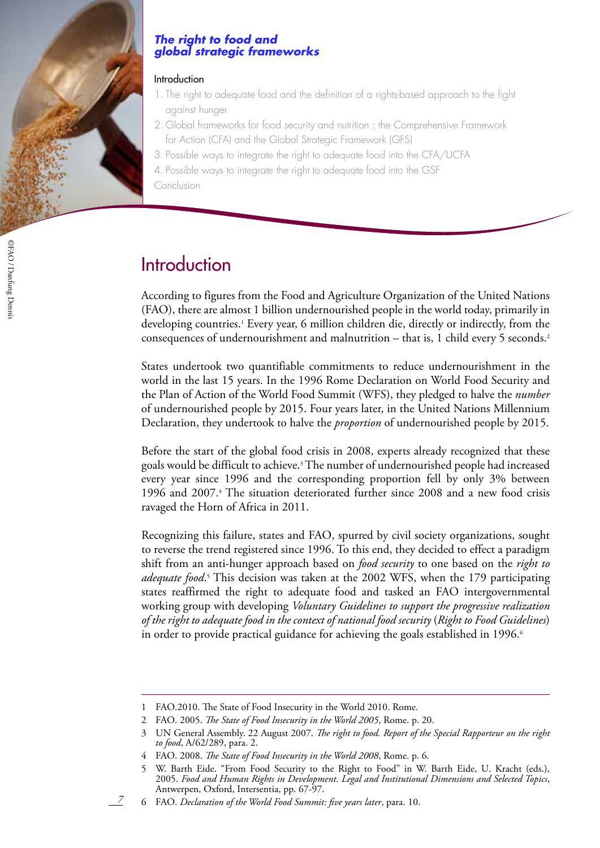

©FAO /

Danfung Dennis

#### *The right to food and global strategic frameworks*

#### Introduction

- 1. The right to adequate food and the definition of a rights-based approach to the fight against hunger
- 2. Global frameworks for food security and nutrition : the Comprehensive Framework for Action (CFA) and the Global Strategic Framework (GFS)
- 3. Possible ways to integrate the right to adequate food into the CFA/UCFA
- 4. Possible ways to integrate the right to adequate food into the GSF
- Conclusion

# **Introduction**

According to figures from the Food and Agriculture Organization of the United Nations (FAO), there are almost 1 billion undernourished people in the world today, primarily in developing countries.<sup>1</sup> Every year, 6 million children die, directly or indirectly, from the consequences of undernourishment and malnutrition – that is, 1 child every 5 seconds.<sup>2</sup>

States undertook two quantifiable commitments to reduce undernourishment in the world in the last 15 years. In the 1996 Rome Declaration on World Food Security and the Plan of Action of the World Food Summit (WFS), they pledged to halve the *number* of undernourished people by 2015. Four years later, in the United Nations Millennium Declaration, they undertook to halve the *proportion* of undernourished people by 2015.

Before the start of the global food crisis in 2008, experts already recognized that these goals would be difficult to achieve.3 The number of undernourished people had increased every year since 1996 and the corresponding proportion fell by only 3% between 1996 and 2007.4 The situation deteriorated further since 2008 and a new food crisis ravaged the Horn of Africa in 2011.

Recognizing this failure, states and FAO, spurred by civil society organizations, sought to reverse the trend registered since 1996. To this end, they decided to effect a paradigm shift from an anti-hunger approach based on *food security* to one based on the *right to*  adequate food.<sup>5</sup> This decision was taken at the 2002 WFS, when the 179 participating states reaffirmed the right to adequate food and tasked an FAO intergovernmental working group with developing *Voluntary Guidelines to support the progressive realization of the right to adequate food in the context of national food security* (*Right to Food Guidelines*) in order to provide practical guidance for achieving the goals established in 1996.<sup>6</sup>

<sup>1</sup> FAO.2010. The State of Food Insecurity in the World 2010. Rome.

<sup>2</sup> FAO. 2005. *The State of Food Insecurity in the World 2005*, Rome. p. 20.

<sup>3</sup> UN General Assembly. 22 August 2007. *The right to food. Report of the Special Rapporteur on the right to food*, A/62/289, para. 2.

<sup>4</sup> FAO. 2008. *The State of Food Insecurity in the World 2008*, Rome. p. 6.

<sup>5</sup> W. Barth Eide. "From Food Security to the Right to Food" in W. Barth Eide, U. Kracht (eds.), 2005. *Food and Human Rights in Development. Legal and Institutional Dimensions and Selected Topics*, Antwerpen, Oxford, Intersentia, pp. 67-97.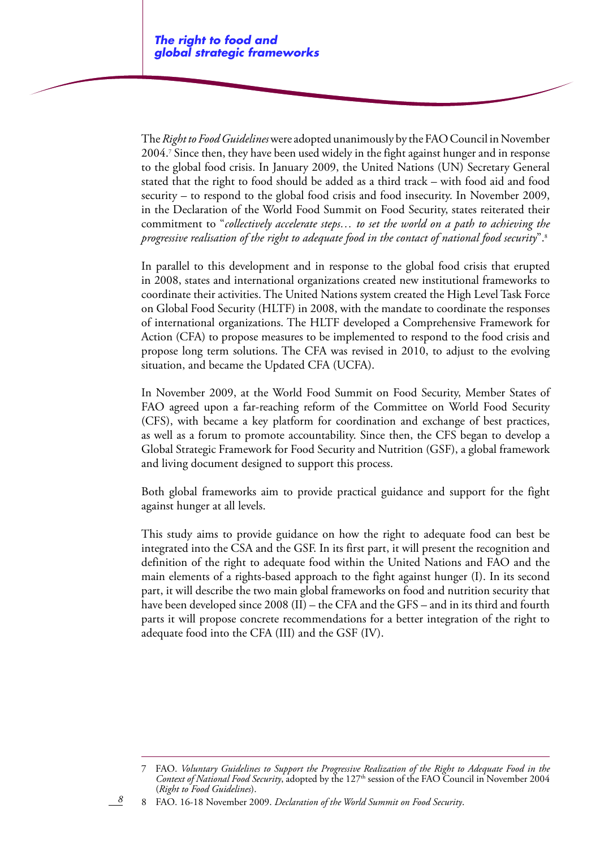The *Right to Food Guidelines* were adopted unanimously by the FAO Council in November 2004.7 Since then, they have been used widely in the fight against hunger and in response to the global food crisis. In January 2009, the United Nations (UN) Secretary General stated that the right to food should be added as a third track – with food aid and food security – to respond to the global food crisis and food insecurity. In November 2009, in the Declaration of the World Food Summit on Food Security, states reiterated their commitment to "*collectively accelerate steps… to set the world on a path to achieving the progressive realisation of the right to adequate food in the contact of national food security*".8

In parallel to this development and in response to the global food crisis that erupted in 2008, states and international organizations created new institutional frameworks to coordinate their activities. The United Nations system created the High Level Task Force on Global Food Security (HLTF) in 2008, with the mandate to coordinate the responses of international organizations. The HLTF developed a Comprehensive Framework for Action (CFA) to propose measures to be implemented to respond to the food crisis and propose long term solutions. The CFA was revised in 2010, to adjust to the evolving situation, and became the Updated CFA (UCFA).

In November 2009, at the World Food Summit on Food Security, Member States of FAO agreed upon a far-reaching reform of the Committee on World Food Security (CFS), with became a key platform for coordination and exchange of best practices, as well as a forum to promote accountability. Since then, the CFS began to develop a Global Strategic Framework for Food Security and Nutrition (GSF), a global framework and living document designed to support this process.

Both global frameworks aim to provide practical guidance and support for the fight against hunger at all levels.

This study aims to provide guidance on how the right to adequate food can best be integrated into the CSA and the GSF. In its first part, it will present the recognition and definition of the right to adequate food within the United Nations and FAO and the main elements of a rights-based approach to the fight against hunger (I). In its second part, it will describe the two main global frameworks on food and nutrition security that have been developed since 2008 (II) – the CFA and the GFS – and in its third and fourth parts it will propose concrete recommendations for a better integration of the right to adequate food into the CFA (III) and the GSF (IV).

#### 8 FAO. 16-18 November 2009. *Declaration of the World Summit on Food Security*.

<sup>7</sup> FAO. *Voluntary Guidelines to Support the Progressive Realization of the Right to Adequate Food in the Context of National Food Security*, adopted by the 127<sup>th</sup> session of the FAO Council in November 2004 (*Right to Food Guidelines*).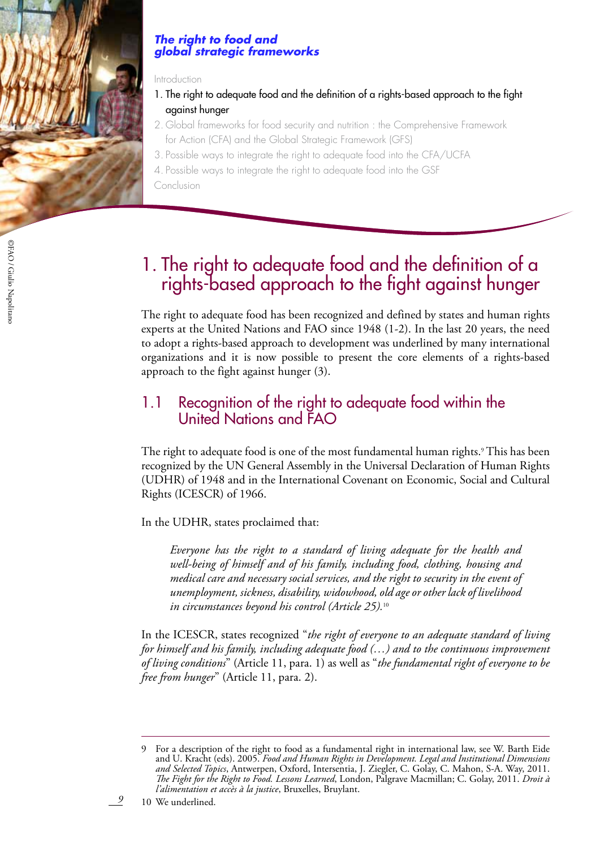

#### *The right to food and global strategic frameworks*

#### Introduction

- 1. The right to adequate food and the definition of a rights-based approach to the fight against hunger
- 2. Global frameworks for food security and nutrition : the Comprehensive Framework for Action (CFA) and the Global Strategic Framework (GFS)
- 3. Possible ways to integrate the right to adequate food into the CFA/UCFA
- 4. Possible ways to integrate the right to adequate food into the GSF

Conclusion

# 1. The right to adequate food and the definition of a rights-based approach to the fight against hunger

The right to adequate food has been recognized and defined by states and human rights experts at the United Nations and FAO since 1948 (1-2). In the last 20 years, the need to adopt a rights-based approach to development was underlined by many international organizations and it is now possible to present the core elements of a rights-based approach to the fight against hunger (3).

# 1.1 Recognition of the right to adequate food within the United Nations and FAO

The right to adequate food is one of the most fundamental human rights.9 This has been recognized by the UN General Assembly in the Universal Declaration of Human Rights (UDHR) of 1948 and in the International Covenant on Economic, Social and Cultural Rights (ICESCR) of 1966.

In the UDHR, states proclaimed that:

*Everyone has the right to a standard of living adequate for the health and well-being of himself and of his family, including food, clothing, housing and medical care and necessary social services, and the right to security in the event of unemployment, sickness, disability, widowhood, old age or other lack of livelihood in circumstances beyond his control (Article 25).*<sup>10</sup>

In the ICESCR, states recognized "*the right of everyone to an adequate standard of living for himself and his family, including adequate food (…) and to the continuous improvement of living conditions*" (Article 11, para. 1) as well as "*the fundamental right of everyone to be free from hunger*" (Article 11, para. 2).

10 We underlined.

©FAO /

<sup>9</sup> For a description of the right to food as a fundamental right in international law, see W. Barth Eide and U. Kracht (eds). 2005. *Food and Human Rights in Development. Legal and Institutional Dimensions and Selected Topics*, Antwerpen, Oxford, Intersentia, J. Ziegler, C. Golay, C. Mahon, S-A. Way, 2011. *The Fight for the Right to Food. Lessons Learned*, London, Palgrave Macmillan; C. Golay, 2011. *Droit à l'alimentation et accès à la justice*, Bruxelles, Bruylant.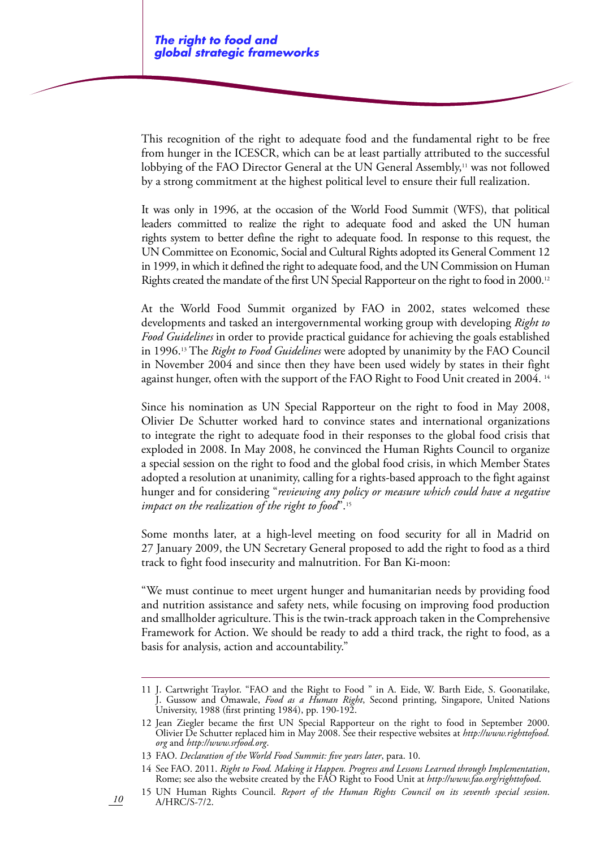This recognition of the right to adequate food and the fundamental right to be free from hunger in the ICESCR, which can be at least partially attributed to the successful lobbying of the FAO Director General at the UN General Assembly,<sup>11</sup> was not followed by a strong commitment at the highest political level to ensure their full realization.

It was only in 1996, at the occasion of the World Food Summit (WFS), that political leaders committed to realize the right to adequate food and asked the UN human rights system to better define the right to adequate food. In response to this request, the UN Committee on Economic, Social and Cultural Rights adopted its General Comment 12 in 1999, in which it defined the right to adequate food, and the UN Commission on Human Rights created the mandate of the first UN Special Rapporteur on the right to food in 2000.<sup>12</sup>

At the World Food Summit organized by FAO in 2002, states welcomed these developments and tasked an intergovernmental working group with developing *Right to Food Guidelines* in order to provide practical guidance for achieving the goals established in 1996.13 The *Right to Food Guidelines* were adopted by unanimity by the FAO Council in November 2004 and since then they have been used widely by states in their fight against hunger, often with the support of the FAO Right to Food Unit created in 2004.<sup>14</sup>

Since his nomination as UN Special Rapporteur on the right to food in May 2008, Olivier De Schutter worked hard to convince states and international organizations to integrate the right to adequate food in their responses to the global food crisis that exploded in 2008. In May 2008, he convinced the Human Rights Council to organize a special session on the right to food and the global food crisis, in which Member States adopted a resolution at unanimity, calling for a rights-based approach to the fight against hunger and for considering "*reviewing any policy or measure which could have a negative impact on the realization of the right to food*".15

Some months later, at a high-level meeting on food security for all in Madrid on 27 January 2009, the UN Secretary General proposed to add the right to food as a third track to fight food insecurity and malnutrition. For Ban Ki-moon:

"We must continue to meet urgent hunger and humanitarian needs by providing food and nutrition assistance and safety nets, while focusing on improving food production and smallholder agriculture. This is the twin-track approach taken in the Comprehensive Framework for Action. We should be ready to add a third track, the right to food, as a basis for analysis, action and accountability."

13 FAO. *Declaration of the World Food Summit: five years later*, para. 10.

<sup>11</sup> J. Cartwright Traylor. "FAO and the Right to Food " in A. Eide, W. Barth Eide, S. Goonatilake, J. Gussow and Omawale, *Food as a Human Right*, Second printing, Singapore, United Nations University, 1988 (first printing 1984), pp. 190-192.

<sup>12</sup> Jean Ziegler became the first UN Special Rapporteur on the right to food in September 2000. Olivier De Schutter replaced him in May 2008. See their respective websites at *http://www.righttofood. org* and *http://www.srfood.org*.

<sup>14</sup> See FAO. 2011. *Right to Food. Making it Happen. Progress and Lessons Learned through Implementation*, Rome; see also the website created by the FAO Right to Food Unit at *http://www.fao.org/righttofood*.

<sup>15</sup> UN Human Rights Council. *Report of the Human Rights Council on its seventh special session*. A/HRC/S-7/2.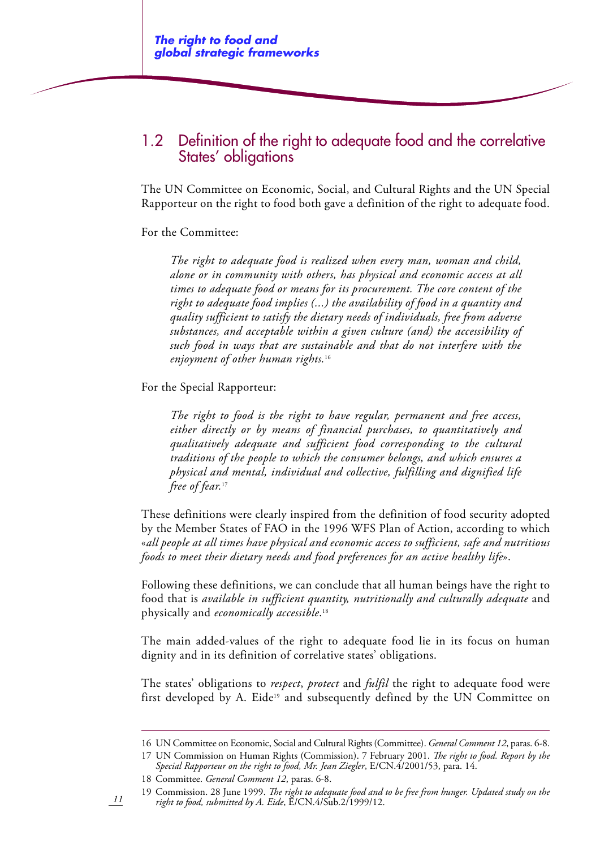## 1.2 Definition of the right to adequate food and the correlative States' obligations

The UN Committee on Economic, Social, and Cultural Rights and the UN Special Rapporteur on the right to food both gave a definition of the right to adequate food.

#### For the Committee:

*The right to adequate food is realized when every man, woman and child, alone or in community with others, has physical and economic access at all times to adequate food or means for its procurement. The core content of the right to adequate food implies (...) the availability of food in a quantity and quality sufficient to satisfy the dietary needs of individuals, free from adverse substances, and acceptable within a given culture (and) the accessibility of such food in ways that are sustainable and that do not interfere with the enjoyment of other human rights.*<sup>16</sup>

For the Special Rapporteur:

*The right to food is the right to have regular, permanent and free access, either directly or by means of financial purchases, to quantitatively and qualitatively adequate and sufficient food corresponding to the cultural traditions of the people to which the consumer belongs, and which ensures a physical and mental, individual and collective, fulfilling and dignified life free of fear.*<sup>17</sup>

These definitions were clearly inspired from the definition of food security adopted by the Member States of FAO in the 1996 WFS Plan of Action, according to which «*all people at all times have physical and economic access to sufficient, safe and nutritious foods to meet their dietary needs and food preferences for an active healthy life*».

Following these definitions, we can conclude that all human beings have the right to food that is *available in sufficient quantity, nutritionally and culturally adequate* and physically and *economically accessible*. 18

The main added-values of the right to adequate food lie in its focus on human dignity and in its definition of correlative states' obligations.

The states' obligations to *respect*, *protect* and *fulfil* the right to adequate food were first developed by A. Eide<sup>19</sup> and subsequently defined by the UN Committee on

<sup>16</sup> UN Committee on Economic, Social and Cultural Rights (Committee). *General Comment 12*, paras. 6-8.

<sup>17</sup> UN Commission on Human Rights (Commission). 7 February 2001. *The right to food. Report by the Special Rapporteur on the right to food, Mr. Jean Ziegler*, E/CN.4/2001/53, para. 14.

<sup>18</sup> Committee. *General Comment 12*, paras. 6-8.

<sup>19</sup> Commission. 28 June 1999. *The right to adequate food and to be free from hunger. Updated study on the right to food, submitted by A. Eide*, E/CN.4/Sub.2/1999/12.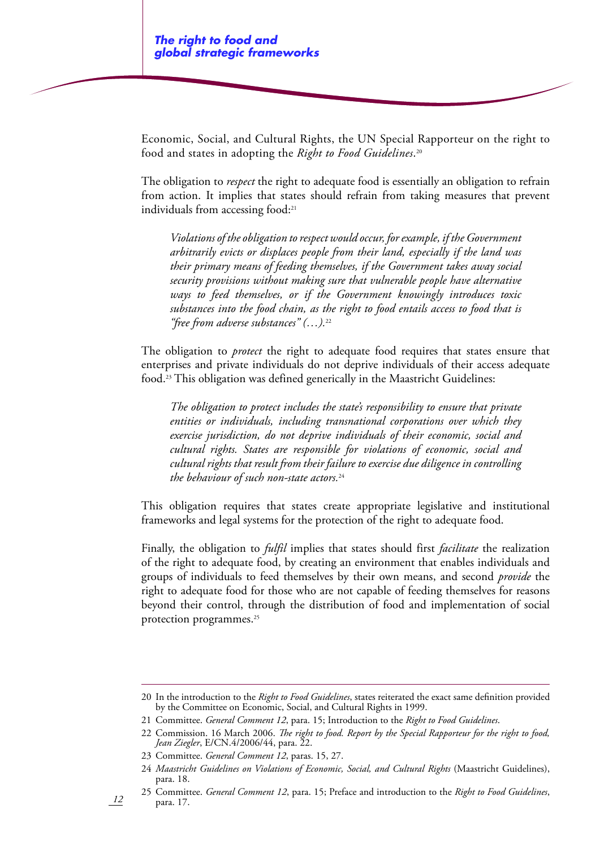Economic, Social, and Cultural Rights, the UN Special Rapporteur on the right to food and states in adopting the *Right to Food Guidelines*. 20

The obligation to *respect* the right to adequate food is essentially an obligation to refrain from action. It implies that states should refrain from taking measures that prevent individuals from accessing food:<sup>21</sup>

*Violations of the obligation to respect would occur, for example, if the Government arbitrarily evicts or displaces people from their land, especially if the land was their primary means of feeding themselves, if the Government takes away social security provisions without making sure that vulnerable people have alternative ways to feed themselves, or if the Government knowingly introduces toxic substances into the food chain, as the right to food entails access to food that is "free from adverse substances" (…).*<sup>22</sup>

The obligation to *protect* the right to adequate food requires that states ensure that enterprises and private individuals do not deprive individuals of their access adequate food.23 This obligation was defined generically in the Maastricht Guidelines:

*The obligation to protect includes the state's responsibility to ensure that private entities or individuals, including transnational corporations over which they exercise jurisdiction, do not deprive individuals of their economic, social and cultural rights. States are responsible for violations of economic, social and cultural rights that result from their failure to exercise due diligence in controlling the behaviour of such non-state actors.*<sup>24</sup>

This obligation requires that states create appropriate legislative and institutional frameworks and legal systems for the protection of the right to adequate food.

Finally, the obligation to *fulfil* implies that states should first *facilitate* the realization of the right to adequate food, by creating an environment that enables individuals and groups of individuals to feed themselves by their own means, and second *provide* the right to adequate food for those who are not capable of feeding themselves for reasons beyond their control, through the distribution of food and implementation of social protection programmes.<sup>25</sup>

<sup>20</sup> In the introduction to the *Right to Food Guidelines*, states reiterated the exact same definition provided by the Committee on Economic, Social, and Cultural Rights in 1999.

<sup>21</sup> Committee. *General Comment 12*, para. 15; Introduction to the *Right to Food Guidelines*.

<sup>22</sup> Commission. 16 March 2006. *The right to food. Report by the Special Rapporteur for the right to food, Jean Ziegler*, E/CN.4/2006/44, para. 22.

<sup>23</sup> Committee. *General Comment 12*, paras. 15, 27.

<sup>24</sup> *Maastricht Guidelines on Violations of Economic, Social, and Cultural Rights* (Maastricht Guidelines), para. 18.

<sup>25</sup> Committee. *General Comment 12*, para. 15; Preface and introduction to the *Right to Food Guidelines*, para. 17.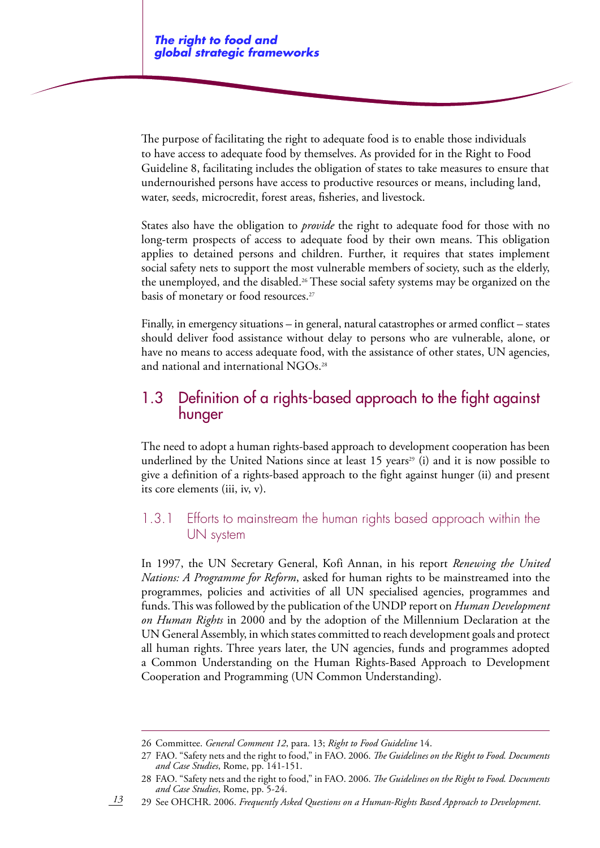The purpose of facilitating the right to adequate food is to enable those individuals to have access to adequate food by themselves. As provided for in the Right to Food Guideline 8, facilitating includes the obligation of states to take measures to ensure that undernourished persons have access to productive resources or means, including land, water, seeds, microcredit, forest areas, fisheries, and livestock.

States also have the obligation to *provide* the right to adequate food for those with no long-term prospects of access to adequate food by their own means. This obligation applies to detained persons and children. Further, it requires that states implement social safety nets to support the most vulnerable members of society, such as the elderly, the unemployed, and the disabled.26 These social safety systems may be organized on the basis of monetary or food resources.<sup>27</sup>

Finally, in emergency situations – in general, natural catastrophes or armed conflict – states should deliver food assistance without delay to persons who are vulnerable, alone, or have no means to access adequate food, with the assistance of other states, UN agencies, and national and international NGOs.28

## 1.3 Definition of a rights-based approach to the fight against hunger

The need to adopt a human rights-based approach to development cooperation has been underlined by the United Nations since at least 15 years<sup>29</sup> (i) and it is now possible to give a definition of a rights-based approach to the fight against hunger (ii) and present its core elements (iii, iv, v).

### 1.3.1 Efforts to mainstream the human rights based approach within the UN system

In 1997, the UN Secretary General, Kofi Annan, in his report *Renewing the United Nations: A Programme for Reform*, asked for human rights to be mainstreamed into the programmes, policies and activities of all UN specialised agencies, programmes and funds. This was followed by the publication of the UNDP report on *Human Development on Human Rights* in 2000 and by the adoption of the Millennium Declaration at the UN General Assembly, in which states committed to reach development goals and protect all human rights. Three years later, the UN agencies, funds and programmes adopted a Common Understanding on the Human Rights-Based Approach to Development Cooperation and Programming (UN Common Understanding).

<sup>26</sup> Committee. *General Comment 12*, para. 13; *Right to Food Guideline* 14.

<sup>27</sup> FAO. "Safety nets and the right to food," in FAO. 2006. *The Guidelines on the Right to Food. Documents and Case Studies*, Rome, pp. 141-151.

<sup>28</sup> FAO. "Safety nets and the right to food," in FAO. 2006. *The Guidelines on the Right to Food. Documents and Case Studies*, Rome, pp. 5-24.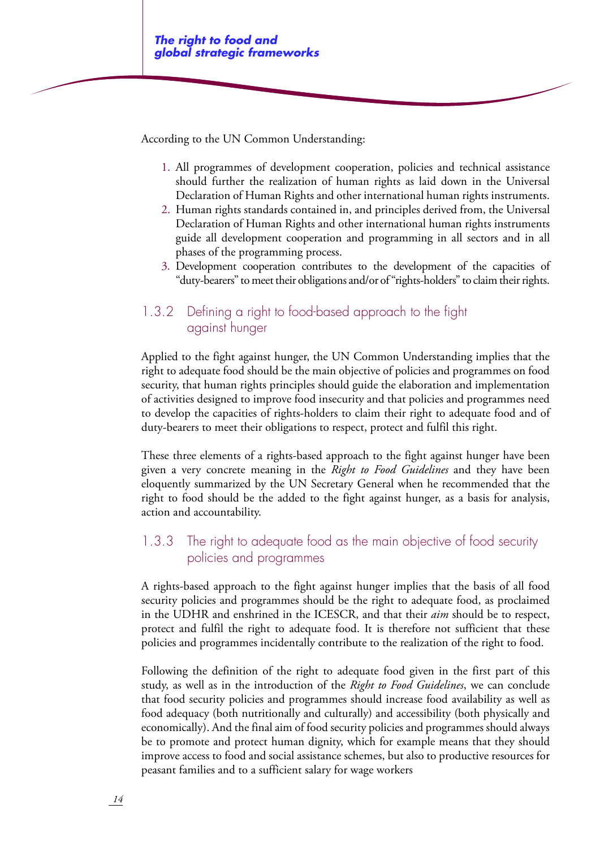According to the UN Common Understanding:

- 1. All programmes of development cooperation, policies and technical assistance should further the realization of human rights as laid down in the Universal Declaration of Human Rights and other international human rights instruments.
- 2. Human rights standards contained in, and principles derived from, the Universal Declaration of Human Rights and other international human rights instruments guide all development cooperation and programming in all sectors and in all phases of the programming process.
- 3. Development cooperation contributes to the development of the capacities of "duty-bearers" to meet their obligations and/or of "rights-holders" to claim their rights.

## 1.3.2 Defining a right to food-based approach to the fight against hunger

Applied to the fight against hunger, the UN Common Understanding implies that the right to adequate food should be the main objective of policies and programmes on food security, that human rights principles should guide the elaboration and implementation of activities designed to improve food insecurity and that policies and programmes need to develop the capacities of rights-holders to claim their right to adequate food and of duty-bearers to meet their obligations to respect, protect and fulfil this right.

These three elements of a rights-based approach to the fight against hunger have been given a very concrete meaning in the *Right to Food Guidelines* and they have been eloquently summarized by the UN Secretary General when he recommended that the right to food should be the added to the fight against hunger, as a basis for analysis, action and accountability.

## 1.3.3 The right to adequate food as the main objective of food security policies and programmes

A rights-based approach to the fight against hunger implies that the basis of all food security policies and programmes should be the right to adequate food, as proclaimed in the UDHR and enshrined in the ICESCR, and that their *aim* should be to respect, protect and fulfil the right to adequate food. It is therefore not sufficient that these policies and programmes incidentally contribute to the realization of the right to food.

Following the definition of the right to adequate food given in the first part of this study, as well as in the introduction of the *Right to Food Guidelines*, we can conclude that food security policies and programmes should increase food availability as well as food adequacy (both nutritionally and culturally) and accessibility (both physically and economically). And the final aim of food security policies and programmes should always be to promote and protect human dignity, which for example means that they should improve access to food and social assistance schemes, but also to productive resources for peasant families and to a sufficient salary for wage workers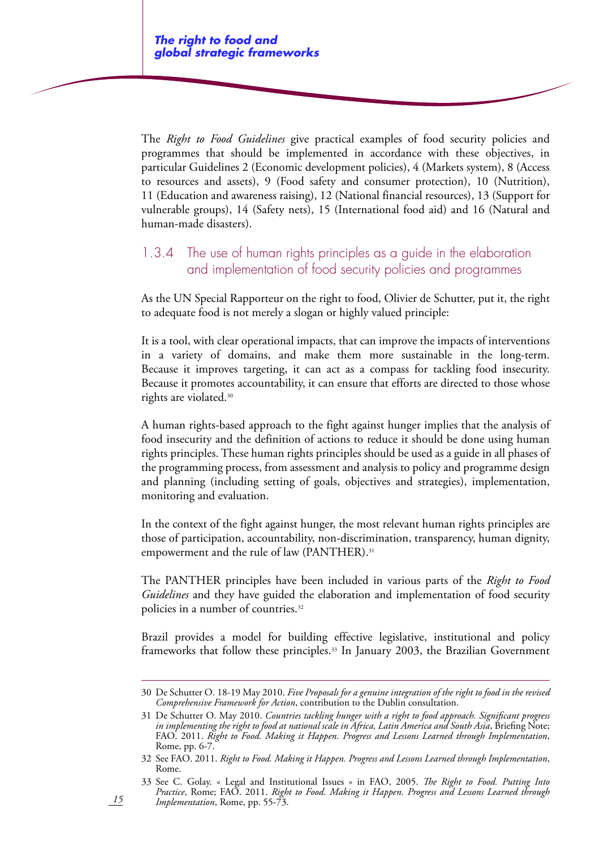The *Right to Food Guidelines* give practical examples of food security policies and programmes that should be implemented in accordance with these objectives, in particular Guidelines 2 (Economic development policies), 4 (Markets system), 8 (Access to resources and assets), 9 (Food safety and consumer protection), 10 (Nutrition), 11 (Education and awareness raising), 12 (National financial resources), 13 (Support for vulnerable groups), 14 (Safety nets), 15 (International food aid) and 16 (Natural and human-made disasters).

### 1.3.4 The use of human rights principles as a guide in the elaboration and implementation of food security policies and programmes

As the UN Special Rapporteur on the right to food, Olivier de Schutter, put it, the right to adequate food is not merely a slogan or highly valued principle:

It is a tool, with clear operational impacts, that can improve the impacts of interventions in a variety of domains, and make them more sustainable in the long-term. Because it improves targeting, it can act as a compass for tackling food insecurity. Because it promotes accountability, it can ensure that efforts are directed to those whose rights are violated.30

A human rights-based approach to the fight against hunger implies that the analysis of food insecurity and the definition of actions to reduce it should be done using human rights principles. These human rights principles should be used as a guide in all phases of the programming process, from assessment and analysis to policy and programme design and planning (including setting of goals, objectives and strategies), implementation, monitoring and evaluation.

In the context of the fight against hunger, the most relevant human rights principles are those of participation, accountability, non-discrimination, transparency, human dignity, empowerment and the rule of law (PANTHER).<sup>31</sup>

The PANTHER principles have been included in various parts of the *Right to Food Guidelines* and they have guided the elaboration and implementation of food security policies in a number of countries.<sup>32</sup>

Brazil provides a model for building effective legislative, institutional and policy frameworks that follow these principles.33 In January 2003, the Brazilian Government

<sup>30</sup> De Schutter O. 18-19 May 2010. *Five Proposals for a genuine integration of the right to food in the revised Comprehensive Framework for Action*, contribution to the Dublin consultation.

<sup>31</sup> De Schutter O. May 2010. *Countries tackling hunger with a right to food approach. Significant progress in implementing the right to food at national scale in Africa, Latin America and South Asia*, Briefing Note; FAO. 2011. *Right to Food. Making it Happen. Progress and Lessons Learned through Implementation*, Rome, pp. 6-7.

<sup>32</sup> See FAO. 2011. *Right to Food. Making it Happen. Progress and Lessons Learned through Implementation*, Rome.

<sup>33</sup> See C. Golay. « Legal and Institutional Issues » in FAO, 2005. *The Right to Food. Putting Into Practice*, Rome; FAO. 2011. *Right to Food. Making it Happen. Progress and Lessons Learned through Implementation*, Rome, pp. 55-73.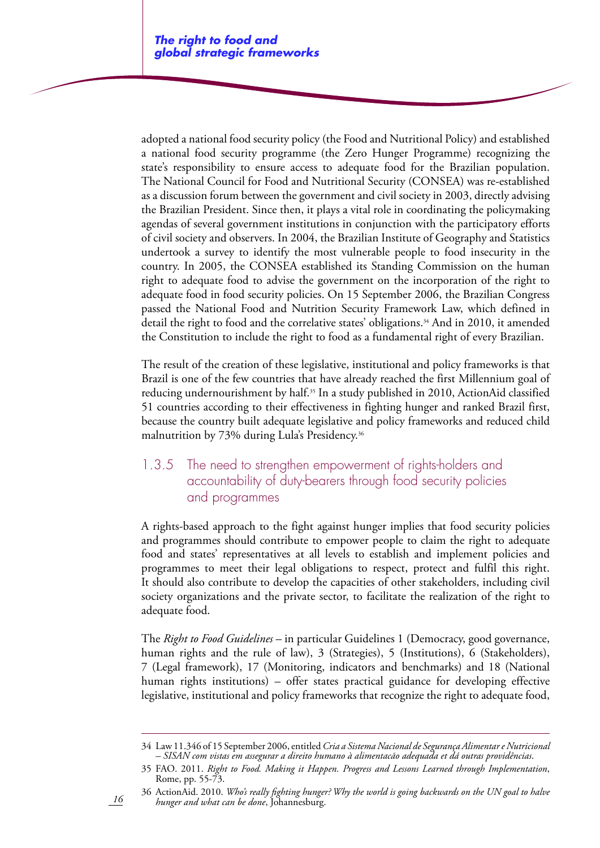adopted a national food security policy (the Food and Nutritional Policy) and established a national food security programme (the Zero Hunger Programme) recognizing the state's responsibility to ensure access to adequate food for the Brazilian population. The National Council for Food and Nutritional Security (CONSEA) was re-established as a discussion forum between the government and civil society in 2003, directly advising the Brazilian President. Since then, it plays a vital role in coordinating the policymaking agendas of several government institutions in conjunction with the participatory efforts of civil society and observers. In 2004, the Brazilian Institute of Geography and Statistics undertook a survey to identify the most vulnerable people to food insecurity in the country. In 2005, the CONSEA established its Standing Commission on the human right to adequate food to advise the government on the incorporation of the right to adequate food in food security policies. On 15 September 2006, the Brazilian Congress passed the National Food and Nutrition Security Framework Law, which defined in detail the right to food and the correlative states' obligations.<sup>34</sup> And in 2010, it amended the Constitution to include the right to food as a fundamental right of every Brazilian.

The result of the creation of these legislative, institutional and policy frameworks is that Brazil is one of the few countries that have already reached the first Millennium goal of reducing undernourishment by half.<sup>35</sup> In a study published in 2010, ActionAid classified 51 countries according to their effectiveness in fighting hunger and ranked Brazil first, because the country built adequate legislative and policy frameworks and reduced child malnutrition by 73% during Lula's Presidency.36

## 1.3.5 The need to strengthen empowerment of rights-holders and accountability of duty-bearers through food security policies and programmes

A rights-based approach to the fight against hunger implies that food security policies and programmes should contribute to empower people to claim the right to adequate food and states' representatives at all levels to establish and implement policies and programmes to meet their legal obligations to respect, protect and fulfil this right. It should also contribute to develop the capacities of other stakeholders, including civil society organizations and the private sector, to facilitate the realization of the right to adequate food.

The *Right to Food Guidelines* – in particular Guidelines 1 (Democracy, good governance, human rights and the rule of law), 3 (Strategies), 5 (Institutions), 6 (Stakeholders), 7 (Legal framework), 17 (Monitoring, indicators and benchmarks) and 18 (National human rights institutions) – offer states practical guidance for developing effective legislative, institutional and policy frameworks that recognize the right to adequate food,

<sup>34</sup> Law 11.346 of 15 September 2006, entitled *Cria a Sistema Nacional de Segurança Alimentar e Nutricional – SISAN com vistas em assegurar a direito humano à alimentacão adequada et dá outras providências*.

<sup>35</sup> FAO. 2011. *Right to Food. Making it Happen. Progress and Lessons Learned through Implementation*, Rome, pp. 55-73.

<sup>36</sup> ActionAid. 2010. *Who's really fighting hunger? Why the world is going backwards on the UN goal to halve hunger and what can be done*, Johannesburg.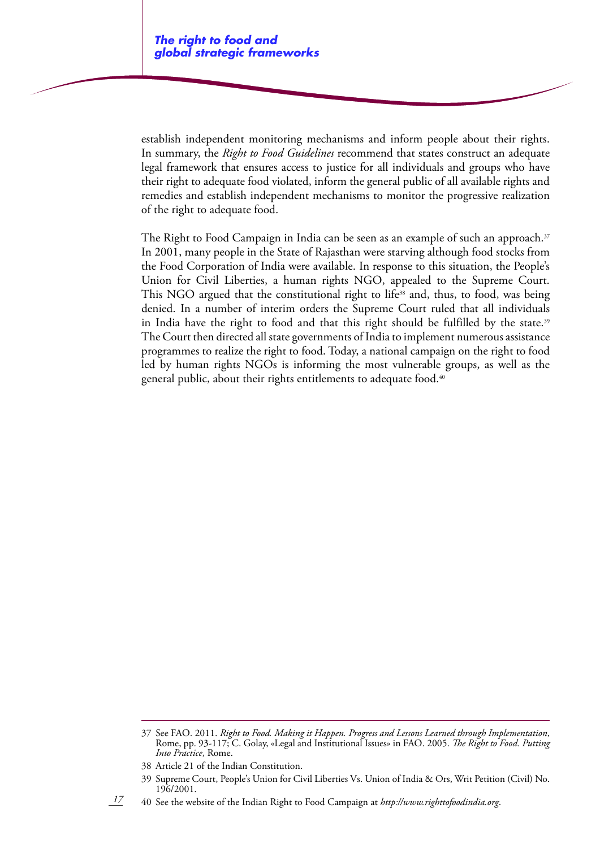establish independent monitoring mechanisms and inform people about their rights. In summary, the *Right to Food Guidelines* recommend that states construct an adequate legal framework that ensures access to justice for all individuals and groups who have their right to adequate food violated, inform the general public of all available rights and remedies and establish independent mechanisms to monitor the progressive realization of the right to adequate food.

The Right to Food Campaign in India can be seen as an example of such an approach.<sup>37</sup> In 2001, many people in the State of Rajasthan were starving although food stocks from the Food Corporation of India were available. In response to this situation, the People's Union for Civil Liberties, a human rights NGO, appealed to the Supreme Court. This NGO argued that the constitutional right to life<sup>38</sup> and, thus, to food, was being denied. In a number of interim orders the Supreme Court ruled that all individuals in India have the right to food and that this right should be fulfilled by the state.<sup>39</sup> The Court then directed all state governments of India to implement numerous assistance programmes to realize the right to food. Today, a national campaign on the right to food led by human rights NGOs is informing the most vulnerable groups, as well as the general public, about their rights entitlements to adequate food.<sup>40</sup>

40 See the website of the Indian Right to Food Campaign at *http://www.righttofoodindia.org*.

<sup>37</sup> See FAO. 2011. *Right to Food. Making it Happen. Progress and Lessons Learned through Implementation*, Rome, pp. 93-117; C. Golay, «Legal and Institutional Issues» in FAO. 2005. *The Right to Food. Putting Into Practice*, Rome.

<sup>38</sup> Article 21 of the Indian Constitution.

<sup>39</sup> Supreme Court, People's Union for Civil Liberties Vs. Union of India & Ors, Writ Petition (Civil) No. 196/2001.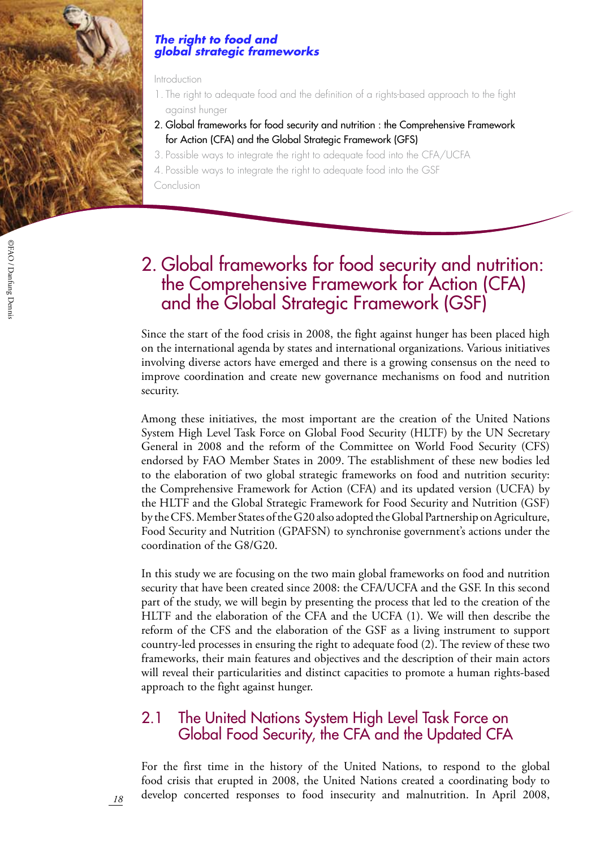

#### *The right to food and global strategic frameworks*

#### Introduction

- 1. The right to adequate food and the definition of a rights-based approach to the fight against hunger
- 2. Global frameworks for food security and nutrition : the Comprehensive Framework for Action (CFA) and the Global Strategic Framework (GFS)
- 3. Possible ways to integrate the right to adequate food into the CFA/UCFA
- 4. Possible ways to integrate the right to adequate food into the GSF
- Conclusion

# 2. Global frameworks for food security and nutrition: the Comprehensive Framework for Action (CFA) and the Global Strategic Framework (GSF)

Since the start of the food crisis in 2008, the fight against hunger has been placed high on the international agenda by states and international organizations. Various initiatives involving diverse actors have emerged and there is a growing consensus on the need to improve coordination and create new governance mechanisms on food and nutrition security.

Among these initiatives, the most important are the creation of the United Nations System High Level Task Force on Global Food Security (HLTF) by the UN Secretary General in 2008 and the reform of the Committee on World Food Security (CFS) endorsed by FAO Member States in 2009. The establishment of these new bodies led to the elaboration of two global strategic frameworks on food and nutrition security: the Comprehensive Framework for Action (CFA) and its updated version (UCFA) by the HLTF and the Global Strategic Framework for Food Security and Nutrition (GSF) by the CFS. Member States of the G20 also adopted the Global Partnership on Agriculture, Food Security and Nutrition (GPAFSN) to synchronise government's actions under the coordination of the G8/G20.

In this study we are focusing on the two main global frameworks on food and nutrition security that have been created since 2008: the CFA/UCFA and the GSF. In this second part of the study, we will begin by presenting the process that led to the creation of the HLTF and the elaboration of the CFA and the UCFA (1). We will then describe the reform of the CFS and the elaboration of the GSF as a living instrument to support country-led processes in ensuring the right to adequate food (2). The review of these two frameworks, their main features and objectives and the description of their main actors will reveal their particularities and distinct capacities to promote a human rights-based approach to the fight against hunger.

# 2.1 The United Nations System High Level Task Force on Global Food Security, the CFA and the Updated CFA

For the first time in the history of the United Nations, to respond to the global food crisis that erupted in 2008, the United Nations created a coordinating body to develop concerted responses to food insecurity and malnutrition. In April 2008,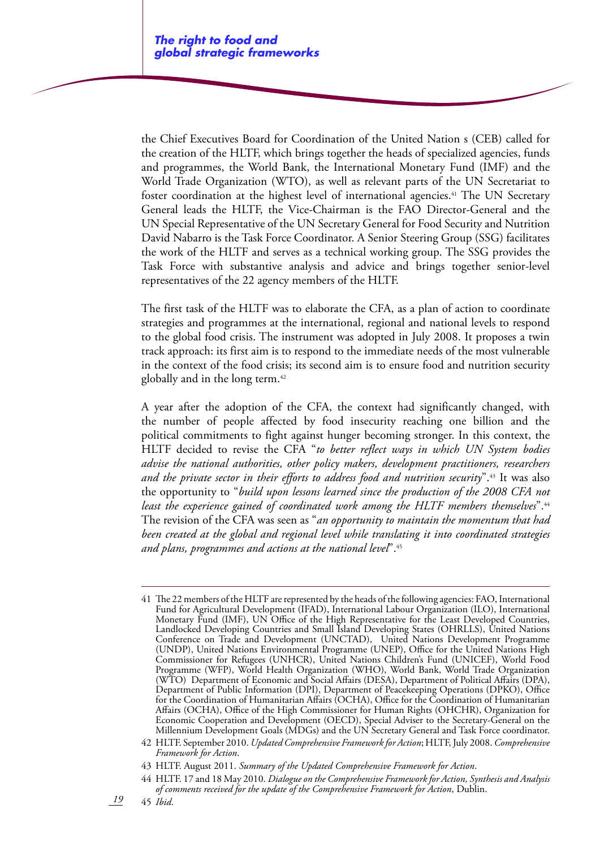the Chief Executives Board for Coordination of the United Nation s (CEB) called for the creation of the HLTF, which brings together the heads of specialized agencies, funds and programmes, the World Bank, the International Monetary Fund (IMF) and the World Trade Organization (WTO), as well as relevant parts of the UN Secretariat to foster coordination at the highest level of international agencies.<sup>41</sup> The UN Secretary General leads the HLTF, the Vice-Chairman is the FAO Director-General and the UN Special Representative of the UN Secretary General for Food Security and Nutrition David Nabarro is the Task Force Coordinator. A Senior Steering Group (SSG) facilitates the work of the HLTF and serves as a technical working group. The SSG provides the Task Force with substantive analysis and advice and brings together senior-level representatives of the 22 agency members of the HLTF.

The first task of the HLTF was to elaborate the CFA, as a plan of action to coordinate strategies and programmes at the international, regional and national levels to respond to the global food crisis. The instrument was adopted in July 2008. It proposes a twin track approach: its first aim is to respond to the immediate needs of the most vulnerable in the context of the food crisis; its second aim is to ensure food and nutrition security globally and in the long term.42

A year after the adoption of the CFA, the context had significantly changed, with the number of people affected by food insecurity reaching one billion and the political commitments to fight against hunger becoming stronger. In this context, the HLTF decided to revise the CFA "*to better reflect ways in which UN System bodies advise the national authorities, other policy makers, development practitioners, researchers and the private sector in their efforts to address food and nutrition security*".43 It was also the opportunity to "*build upon lessons learned since the production of the 2008 CFA not least the experience gained of coordinated work among the HLTF members themselves*".44 The revision of the CFA was seen as "*an opportunity to maintain the momentum that had been created at the global and regional level while translating it into coordinated strategies and plans, programmes and actions at the national level*".45

*19* 45 *Ibid*.

<sup>41</sup> The 22 members of the HLTF are represented by the heads of the following agencies: FAO, International Fund for Agricultural Development (IFAD), International Labour Organization (ILO), International Monetary Fund (IMF), UN Office of the High Representative for the Least Developed Countries, Landlocked Developing Countries and Small Island Developing States (OHRLLS), United Nations Conference on Trade and Development (UNCTAD), United Nations Development Programme (UNDP), United Nations Environmental Programme (UNEP), Office for the United Nations High Commissioner for Refugees (UNHCR), United Nations Children's Fund (UNICEF), World Food Programme (WFP), World Health Organization (WHO), World Bank, World Trade Organization (WTO) Department of Economic and Social Affairs (DESA), Department of Political Affairs (DPA), Department of Public Information (DPI), Department of Peacekeeping Operations (DPKO), Office for the Coordination of Humanitarian Affairs (OCHA), Office for the Coordination of Humanitarian Affairs (OCHA), Office of the High Commissioner for Human Rights (OHCHR), Organization for Economic Cooperation and Development (OECD), Special Adviser to the Secretary-General on the Millennium Development Goals (MDGs) and the UN Secretary General and Task Force coordinator.

<sup>42</sup> HLTF. September 2010. *Updated Comprehensive Framework for Action*; HLTF, July 2008. *Comprehensive Framework for Action*.

<sup>43</sup> HLTF. August 2011. *Summary of the Updated Comprehensive Framework for Action*.

<sup>44</sup> HLTF. 17 and 18 May 2010. *Dialogue on the Comprehensive Framework for Action, Synthesis and Analysis of comments received for the update of the Comprehensive Framework for Action*, Dublin.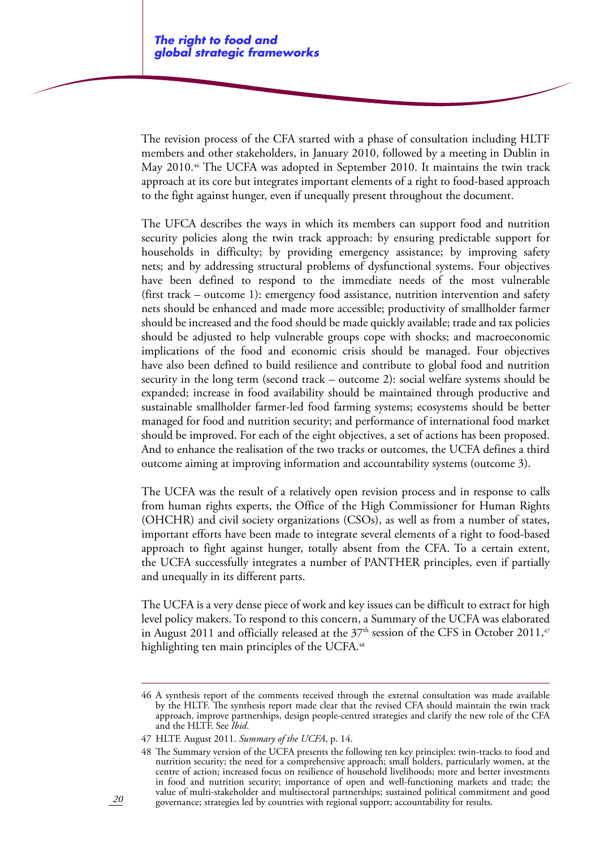The revision process of the CFA started with a phase of consultation including HLTF members and other stakeholders, in January 2010, followed by a meeting in Dublin in May 2010.46 The UCFA was adopted in September 2010. It maintains the twin track approach at its core but integrates important elements of a right to food-based approach to the fight against hunger, even if unequally present throughout the document.

The UFCA describes the ways in which its members can support food and nutrition security policies along the twin track approach: by ensuring predictable support for households in difficulty; by providing emergency assistance; by improving safety nets; and by addressing structural problems of dysfunctional systems. Four objectives have been defined to respond to the immediate needs of the most vulnerable (first track – outcome 1): emergency food assistance, nutrition intervention and safety nets should be enhanced and made more accessible; productivity of smallholder farmer should be increased and the food should be made quickly available; trade and tax policies should be adjusted to help vulnerable groups cope with shocks; and macroeconomic implications of the food and economic crisis should be managed. Four objectives have also been defined to build resilience and contribute to global food and nutrition security in the long term (second track – outcome 2): social welfare systems should be expanded; increase in food availability should be maintained through productive and sustainable smallholder farmer-led food farming systems; ecosystems should be better managed for food and nutrition security; and performance of international food market should be improved. For each of the eight objectives, a set of actions has been proposed. And to enhance the realisation of the two tracks or outcomes, the UCFA defines a third outcome aiming at improving information and accountability systems (outcome 3).

The UCFA was the result of a relatively open revision process and in response to calls from human rights experts, the Office of the High Commissioner for Human Rights (OHCHR) and civil society organizations (CSOs), as well as from a number of states, important efforts have been made to integrate several elements of a right to food-based approach to fight against hunger, totally absent from the CFA. To a certain extent, the UCFA successfully integrates a number of PANTHER principles, even if partially and unequally in its different parts.

The UCFA is a very dense piece of work and key issues can be difficult to extract for high level policy makers. To respond to this concern, a Summary of the UCFA was elaborated in August 2011 and officially released at the  $37<sup>th</sup>$  session of the CFS in October 2011,<sup>47</sup> highlighting ten main principles of the UCFA.<sup>48</sup>

<sup>46</sup> A synthesis report of the comments received through the external consultation was made available by the HLTF. The synthesis report made clear that the revised CFA should maintain the twin track approach, improve partnerships, design people-centred strategies and clarify the new role of the CFA and the HLTF. See *Ibid*.

<sup>47</sup> HLTF. August 2011. *Summary of the UCFA*, p. 14.

<sup>48</sup> The Summary version of the UCFA presents the following ten key principles: twin-tracks to food and nutrition security; the need for a comprehensive approach; small holders, particularly women, at the centre of action; increased focus on resilience of household livelihoods; more and better investments in food and nutrition security; importance of open and well-functioning markets and trade; the value of multi-stakeholder and multisectoral partnerships; sustained political commitment and good governance; strategies led by countries with regional support; accountability for results.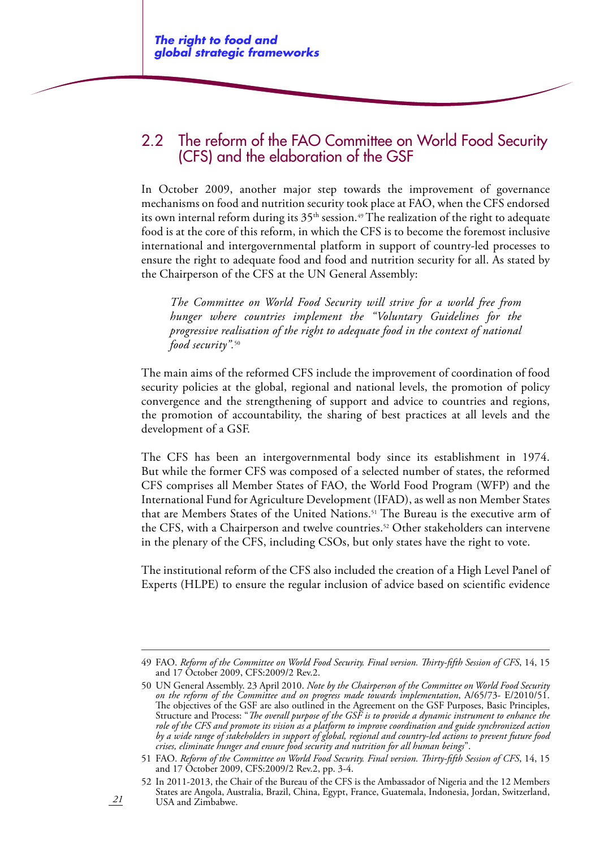# 2.2 The reform of the FAO Committee on World Food Security (CFS) and the elaboration of the GSF

In October 2009, another major step towards the improvement of governance mechanisms on food and nutrition security took place at FAO, when the CFS endorsed its own internal reform during its  $35<sup>th</sup>$  session.<sup>49</sup> The realization of the right to adequate food is at the core of this reform, in which the CFS is to become the foremost inclusive international and intergovernmental platform in support of country-led processes to ensure the right to adequate food and food and nutrition security for all. As stated by the Chairperson of the CFS at the UN General Assembly:

*The Committee on World Food Security will strive for a world free from hunger where countries implement the "Voluntary Guidelines for the progressive realisation of the right to adequate food in the context of national food security".*<sup>50</sup>

The main aims of the reformed CFS include the improvement of coordination of food security policies at the global, regional and national levels, the promotion of policy convergence and the strengthening of support and advice to countries and regions, the promotion of accountability, the sharing of best practices at all levels and the development of a GSF.

The CFS has been an intergovernmental body since its establishment in 1974. But while the former CFS was composed of a selected number of states, the reformed CFS comprises all Member States of FAO, the World Food Program (WFP) and the International Fund for Agriculture Development (IFAD), as well as non Member States that are Members States of the United Nations.51 The Bureau is the executive arm of the CFS, with a Chairperson and twelve countries.<sup>52</sup> Other stakeholders can intervene in the plenary of the CFS, including CSOs, but only states have the right to vote.

The institutional reform of the CFS also included the creation of a High Level Panel of Experts (HLPE) to ensure the regular inclusion of advice based on scientific evidence

<sup>49</sup> FAO. *Reform of the Committee on World Food Security. Final version. Thirty-fifth Session of CFS*, 14, 15 and 17 October 2009, CFS:2009/2 Rev.2.

<sup>50</sup> UN General Assembly. 23 April 2010. *Note by the Chairperson of the Committee on World Food Security on the reform of the Committee and on progress made towards implementation*, A/65/73- E/2010/51. The objectives of the GSF are also outlined in the Agreement on the GSF Purposes, Basic Principles, Structure and Process: "*The overall purpose of the GSF is to provide a dynamic instrument to enhance the role of the CFS and promote its vision as a platform to improve coordination and guide synchronized action by a wide range of stakeholders in support of global, regional and country-led actions to prevent future food crises, eliminate hunger and ensure food security and nutrition for all human beings*".

<sup>51</sup> FAO. *Reform of the Committee on World Food Security. Final version. Thirty-fifth Session of CFS*, 14, 15 and 17 October 2009, CFS:2009/2 Rev.2, pp. 3-4.

<sup>52</sup> In 2011-2013, the Chair of the Bureau of the CFS is the Ambassador of Nigeria and the 12 Members States are Angola, Australia, Brazil, China, Egypt, France, Guatemala, Indonesia, Jordan, Switzerland, USA and Zimbabwe.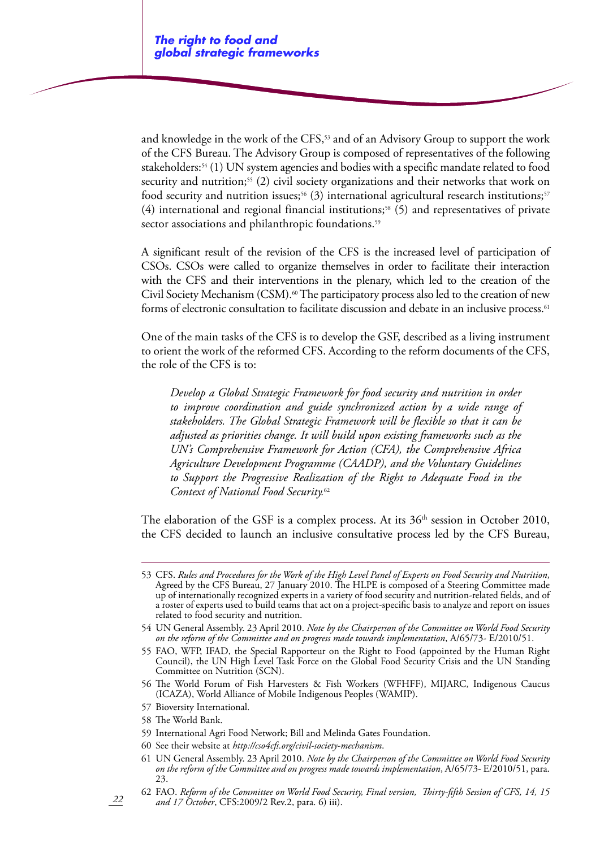and knowledge in the work of the CFS,<sup>53</sup> and of an Advisory Group to support the work of the CFS Bureau. The Advisory Group is composed of representatives of the following stakeholders:54 (1) UN system agencies and bodies with a specific mandate related to food security and nutrition;<sup>55</sup> (2) civil society organizations and their networks that work on food security and nutrition issues;<sup>56</sup> (3) international agricultural research institutions;<sup>57</sup>  $(4)$  international and regional financial institutions;<sup>58</sup>  $(5)$  and representatives of private sector associations and philanthropic foundations.<sup>59</sup>

A significant result of the revision of the CFS is the increased level of participation of CSOs. CSOs were called to organize themselves in order to facilitate their interaction with the CFS and their interventions in the plenary, which led to the creation of the Civil Society Mechanism (CSM).<sup>60</sup> The participatory process also led to the creation of new forms of electronic consultation to facilitate discussion and debate in an inclusive process.<sup>61</sup>

One of the main tasks of the CFS is to develop the GSF, described as a living instrument to orient the work of the reformed CFS. According to the reform documents of the CFS, the role of the CFS is to:

*Develop a Global Strategic Framework for food security and nutrition in order to improve coordination and guide synchronized action by a wide range of stakeholders. The Global Strategic Framework will be flexible so that it can be adjusted as priorities change. It will build upon existing frameworks such as the UN's Comprehensive Framework for Action (CFA), the Comprehensive Africa Agriculture Development Programme (CAADP), and the Voluntary Guidelines to Support the Progressive Realization of the Right to Adequate Food in the Context of National Food Security.*<sup>62</sup>

The elaboration of the GSF is a complex process. At its  $36<sup>th</sup>$  session in October 2010, the CFS decided to launch an inclusive consultative process led by the CFS Bureau,

- 54 UN General Assembly. 23 April 2010. *Note by the Chairperson of the Committee on World Food Security on the reform of the Committee and on progress made towards implementation*, A/65/73- E/2010/51.
- 55 FAO, WFP, IFAD, the Special Rapporteur on the Right to Food (appointed by the Human Right Council), the UN High Level Task Force on the Global Food Security Crisis and the UN Standing Committee on Nutrition (SCN).
- 56 The World Forum of Fish Harvesters & Fish Workers (WFHFF), MIJARC, Indigenous Caucus (ICAZA), World Alliance of Mobile Indigenous Peoples (WAMIP).
- 57 Bioversity International.
- 58 The World Bank.

- 59 International Agri Food Network; Bill and Melinda Gates Foundation.
- 60 See their website at *http://cso4cfs.org/civil-society-mechanism*.
- 61 UN General Assembly. 23 April 2010. *Note by the Chairperson of the Committee on World Food Security on the reform of the Committee and on progress made towards implementation*, A/65/73- E/2010/51, para. 23.
- 62 FAO. *Reform of the Committee on World Food Security, Final version, Thirty-fifth Session of CFS, 14, 15 and 17 October*, CFS:2009/2 Rev.2, para. 6) iii).

<sup>53</sup> CFS. *Rules and Procedures for the Work of the High Level Panel of Experts on Food Security and Nutrition*, Agreed by the CFS Bureau, 27 January 2010. The HLPE is composed of a Steering Committee made up of internationally recognized experts in a variety of food security and nutrition-related fields, and of a roster of experts used to build teams that act on a project-specific basis to analyze and report on issues related to food security and nutrition.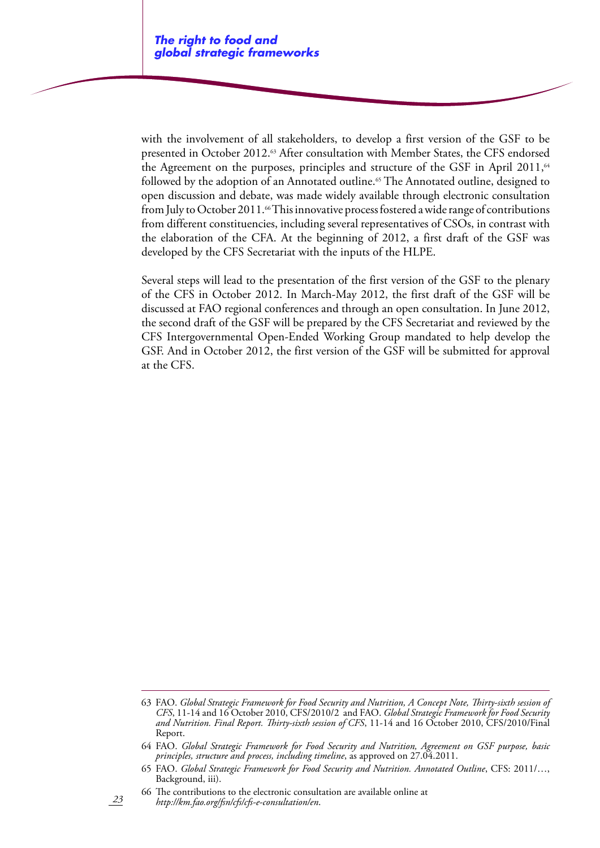with the involvement of all stakeholders, to develop a first version of the GSF to be presented in October 2012.<sup>63</sup> After consultation with Member States, the CFS endorsed the Agreement on the purposes, principles and structure of the GSF in April 2011,<sup>64</sup> followed by the adoption of an Annotated outline.<sup>65</sup> The Annotated outline, designed to open discussion and debate, was made widely available through electronic consultation from July to October 2011.<sup>66</sup> This innovative process fostered a wide range of contributions from different constituencies, including several representatives of CSOs, in contrast with the elaboration of the CFA. At the beginning of 2012, a first draft of the GSF was developed by the CFS Secretariat with the inputs of the HLPE.

Several steps will lead to the presentation of the first version of the GSF to the plenary of the CFS in October 2012. In March-May 2012, the first draft of the GSF will be discussed at FAO regional conferences and through an open consultation. In June 2012, the second draft of the GSF will be prepared by the CFS Secretariat and reviewed by the CFS Intergovernmental Open-Ended Working Group mandated to help develop the GSF. And in October 2012, the first version of the GSF will be submitted for approval at the CFS.

66 The contributions to the electronic consultation are available online at *http://km.fao.org/fsn/cfs/cfs-e-consultation/en*.

<sup>63</sup> FAO. *Global Strategic Framework for Food Security and Nutrition, A Concept Note, Thirty-sixth session of CFS*, 11-14 and 16 October 2010, CFS/2010/2 and FAO. *Global Strategic Framework for Food Security and Nutrition. Final Report. Thirty-sixth session of CFS*, 11-14 and 16 October 2010, CFS/2010/Final Report.

<sup>64</sup> FAO. *Global Strategic Framework for Food Security and Nutrition, Agreement on GSF purpose, basic principles, structure and process, including timeline*, as approved on 27.04.2011.

<sup>65</sup> FAO. *Global Strategic Framework for Food Security and Nutrition. Annotated Outline*, CFS: 2011/…, Background, iii).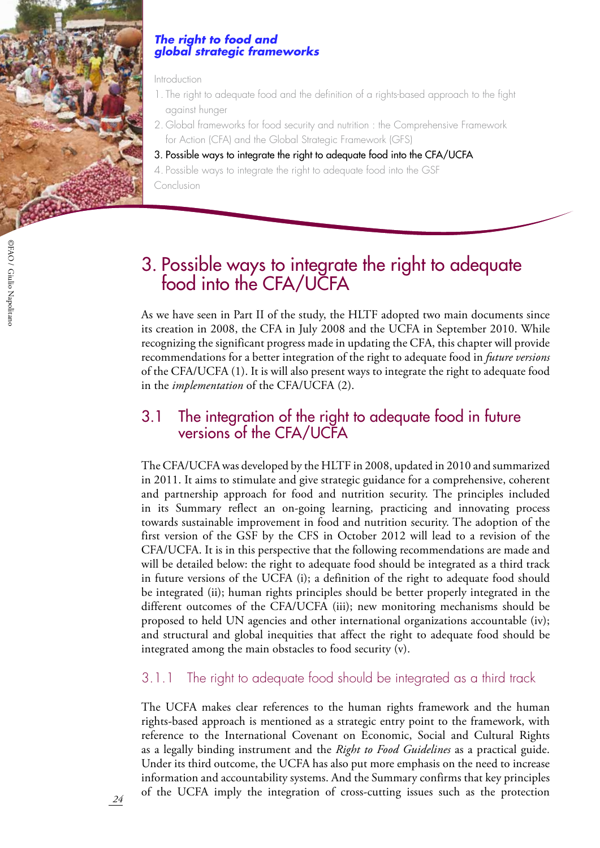

#### *The right to food and global strategic frameworks*

#### Introduction

- 1. The right to adequate food and the definition of a rights-based approach to the fight against hunger
- 2. Global frameworks for food security and nutrition : the Comprehensive Framework for Action (CFA) and the Global Strategic Framework (GFS)
- 3. Possible ways to integrate the right to adequate food into the CFA/UCFA
- 4. Possible ways to integrate the right to adequate food into the GSF Conclusion

# 3. Possible ways to integrate the right to adequate food into the CFA/UCFA

As we have seen in Part II of the study, the HLTF adopted two main documents since its creation in 2008, the CFA in July 2008 and the UCFA in September 2010. While recognizing the significant progress made in updating the CFA, this chapter will provide recommendations for a better integration of the right to adequate food in *future versions*  of the CFA/UCFA (1). It is will also present ways to integrate the right to adequate food in the *implementation* of the CFA/UCFA (2).

## 3.1 The integration of the right to adequate food in future versions of the CFA/UCFA

The CFA/UCFA was developed by the HLTF in 2008, updated in 2010 and summarized in 2011. It aims to stimulate and give strategic guidance for a comprehensive, coherent and partnership approach for food and nutrition security. The principles included in its Summary reflect an on-going learning, practicing and innovating process towards sustainable improvement in food and nutrition security. The adoption of the first version of the GSF by the CFS in October 2012 will lead to a revision of the CFA/UCFA. It is in this perspective that the following recommendations are made and will be detailed below: the right to adequate food should be integrated as a third track in future versions of the UCFA (i); a definition of the right to adequate food should be integrated (ii); human rights principles should be better properly integrated in the different outcomes of the CFA/UCFA (iii); new monitoring mechanisms should be proposed to held UN agencies and other international organizations accountable (iv); and structural and global inequities that affect the right to adequate food should be integrated among the main obstacles to food security (v).

### 3.1.1 The right to adequate food should be integrated as a third track

The UCFA makes clear references to the human rights framework and the human rights-based approach is mentioned as a strategic entry point to the framework, with reference to the International Covenant on Economic, Social and Cultural Rights as a legally binding instrument and the *Right to Food Guidelines* as a practical guide. Under its third outcome, the UCFA has also put more emphasis on the need to increase information and accountability systems. And the Summary confirms that key principles of the UCFA imply the integration of cross-cutting issues such as the protection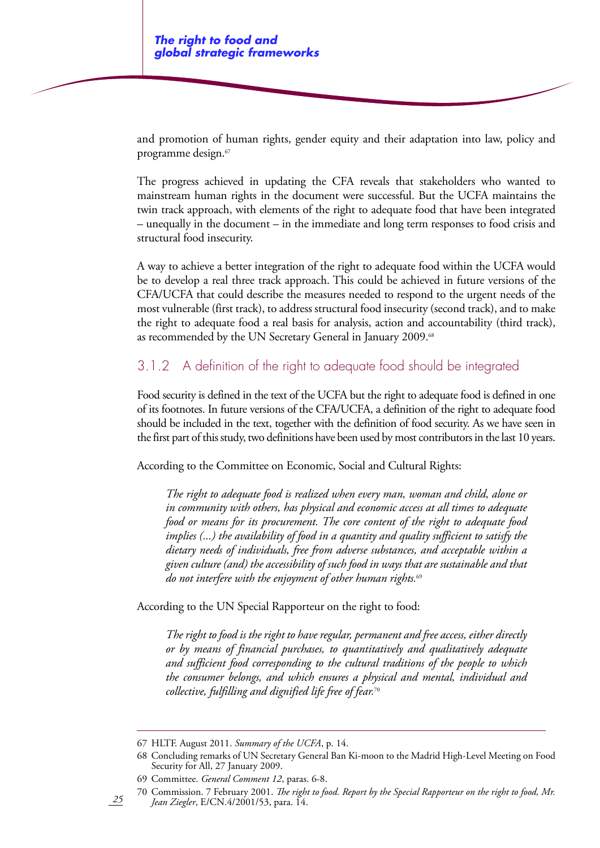and promotion of human rights, gender equity and their adaptation into law, policy and programme design.67

The progress achieved in updating the CFA reveals that stakeholders who wanted to mainstream human rights in the document were successful. But the UCFA maintains the twin track approach, with elements of the right to adequate food that have been integrated – unequally in the document – in the immediate and long term responses to food crisis and structural food insecurity.

A way to achieve a better integration of the right to adequate food within the UCFA would be to develop a real three track approach. This could be achieved in future versions of the CFA/UCFA that could describe the measures needed to respond to the urgent needs of the most vulnerable (first track), to address structural food insecurity (second track), and to make the right to adequate food a real basis for analysis, action and accountability (third track), as recommended by the UN Secretary General in January 2009.<sup>68</sup>

### 3.1.2 A definition of the right to adequate food should be integrated

Food security is defined in the text of the UCFA but the right to adequate food is defined in one of its footnotes. In future versions of the CFA/UCFA, a definition of the right to adequate food should be included in the text, together with the definition of food security. As we have seen in the first part of this study, two definitions have been used by most contributors in the last 10 years.

According to the Committee on Economic, Social and Cultural Rights:

*The right to adequate food is realized when every man, woman and child, alone or in community with others, has physical and economic access at all times to adequate food or means for its procurement. The core content of the right to adequate food implies (...) the availability of food in a quantity and quality sufficient to satisfy the dietary needs of individuals, free from adverse substances, and acceptable within a given culture (and) the accessibility of such food in ways that are sustainable and that do not interfere with the enjoyment of other human rights.*<sup>69</sup>

According to the UN Special Rapporteur on the right to food:

*The right to food is the right to have regular, permanent and free access, either directly or by means of financial purchases, to quantitatively and qualitatively adequate and sufficient food corresponding to the cultural traditions of the people to which the consumer belongs, and which ensures a physical and mental, individual and collective, fulfilling and dignified life free of fear.*<sup>70</sup>

70 Commission. 7 February 2001. *The right to food. Report by the Special Rapporteur on the right to food, Mr. Jean Ziegler*, E/CN.4/2001/53, para. 14.

<sup>67</sup> HLTF. August 2011. *Summary of the UCFA*, p. 14.

<sup>68</sup> Concluding remarks of UN Secretary General Ban Ki-moon to the Madrid High-Level Meeting on Food Security for All, 27 January 2009.

<sup>69</sup> Committee. *General Comment 12*, paras. 6-8.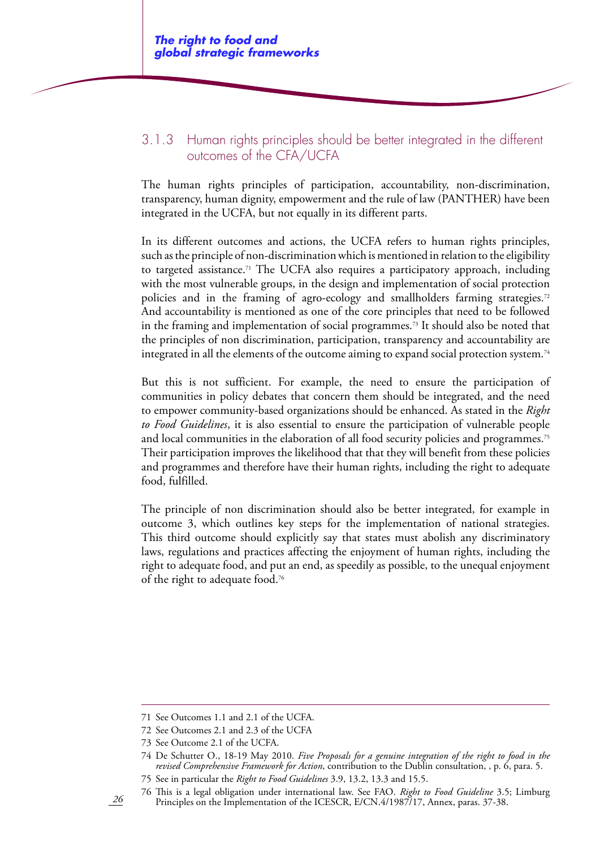### 3.1.3 Human rights principles should be better integrated in the different outcomes of the CFA/UCFA

The human rights principles of participation, accountability, non-discrimination, transparency, human dignity, empowerment and the rule of law (PANTHER) have been integrated in the UCFA, but not equally in its different parts.

In its different outcomes and actions, the UCFA refers to human rights principles, such as the principle of non-discrimination which is mentioned in relation to the eligibility to targeted assistance.<sup>71</sup> The UCFA also requires a participatory approach, including with the most vulnerable groups, in the design and implementation of social protection policies and in the framing of agro-ecology and smallholders farming strategies.72 And accountability is mentioned as one of the core principles that need to be followed in the framing and implementation of social programmes.73 It should also be noted that the principles of non discrimination, participation, transparency and accountability are integrated in all the elements of the outcome aiming to expand social protection system.<sup>74</sup>

But this is not sufficient. For example, the need to ensure the participation of communities in policy debates that concern them should be integrated, and the need to empower community-based organizations should be enhanced. As stated in the *Right to Food Guidelines*, it is also essential to ensure the participation of vulnerable people and local communities in the elaboration of all food security policies and programmes.<sup>75</sup> Their participation improves the likelihood that that they will benefit from these policies and programmes and therefore have their human rights, including the right to adequate food, fulfilled.

The principle of non discrimination should also be better integrated, for example in outcome 3, which outlines key steps for the implementation of national strategies. This third outcome should explicitly say that states must abolish any discriminatory laws, regulations and practices affecting the enjoyment of human rights, including the right to adequate food, and put an end, as speedily as possible, to the unequal enjoyment of the right to adequate food.76

<sup>71</sup> See Outcomes 1.1 and 2.1 of the UCFA.

<sup>72</sup> See Outcomes 2.1 and 2.3 of the UCFA

<sup>73</sup> See Outcome 2.1 of the UCFA.

<sup>74</sup> De Schutter O., 18-19 May 2010. *Five Proposals for a genuine integration of the right to food in the revised Comprehensive Framework for Action*, contribution to the Dublin consultation, , p. 6, para. 5.

<sup>75</sup> See in particular the *Right to Food Guidelines* 3.9, 13.2, 13.3 and 15.5.

<sup>76</sup> This is a legal obligation under international law. See FAO. *Right to Food Guideline* 3.5; Limburg Principles on the Implementation of the ICESCR, E/CN.4/1987/17, Annex, paras. 37-38.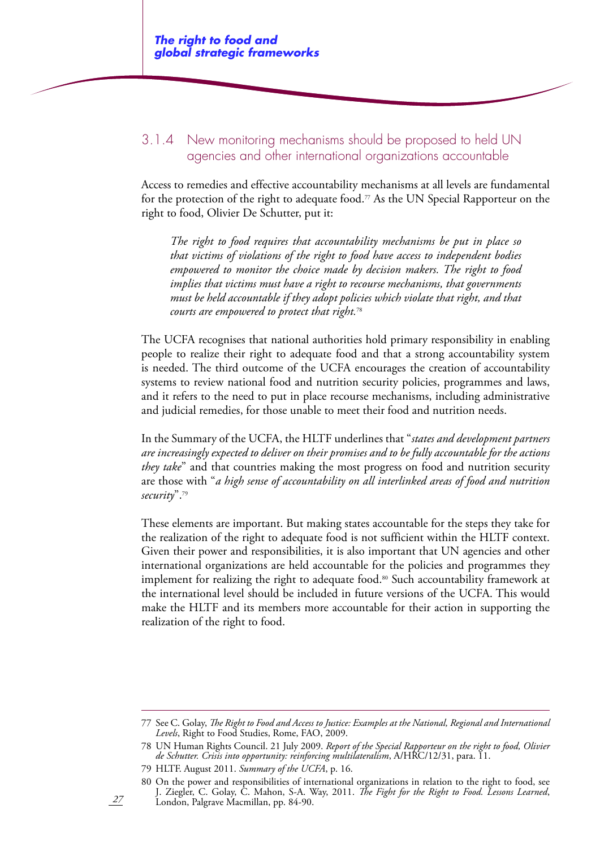### 3.1.4 New monitoring mechanisms should be proposed to held UN agencies and other international organizations accountable

Access to remedies and effective accountability mechanisms at all levels are fundamental for the protection of the right to adequate food.<sup> $7$ </sup> As the UN Special Rapporteur on the right to food, Olivier De Schutter, put it:

*The right to food requires that accountability mechanisms be put in place so that victims of violations of the right to food have access to independent bodies empowered to monitor the choice made by decision makers. The right to food implies that victims must have a right to recourse mechanisms, that governments must be held accountable if they adopt policies which violate that right, and that courts are empowered to protect that right.*<sup>78</sup>

The UCFA recognises that national authorities hold primary responsibility in enabling people to realize their right to adequate food and that a strong accountability system is needed. The third outcome of the UCFA encourages the creation of accountability systems to review national food and nutrition security policies, programmes and laws, and it refers to the need to put in place recourse mechanisms, including administrative and judicial remedies, for those unable to meet their food and nutrition needs.

In the Summary of the UCFA, the HLTF underlines that "*states and development partners are increasingly expected to deliver on their promises and to be fully accountable for the actions they take*" and that countries making the most progress on food and nutrition security are those with "*a high sense of accountability on all interlinked areas of food and nutrition security*".79

These elements are important. But making states accountable for the steps they take for the realization of the right to adequate food is not sufficient within the HLTF context. Given their power and responsibilities, it is also important that UN agencies and other international organizations are held accountable for the policies and programmes they implement for realizing the right to adequate food.<sup>80</sup> Such accountability framework at the international level should be included in future versions of the UCFA. This would make the HLTF and its members more accountable for their action in supporting the realization of the right to food.

<sup>77</sup> See C. Golay, *The Right to Food and Access to Justice: Examples at the National, Regional and International Levels*, Right to Food Studies, Rome, FAO, 2009.

<sup>78</sup> UN Human Rights Council. 21 July 2009. *Report of the Special Rapporteur on the right to food, Olivier de Schutter. Crisis into opportunity: reinforcing multilateralism*, A/HRC/12/31, para. 11.

<sup>79</sup> HLTF. August 2011. *Summary of the UCFA*, p. 16.

<sup>80</sup> On the power and responsibilities of international organizations in relation to the right to food, see J. Ziegler, C. Golay, C. Mahon, S-A. Way, 2011. *The Fight for the Right to Food. Lessons Learned*, London, Palgrave Macmillan, pp. 84-90.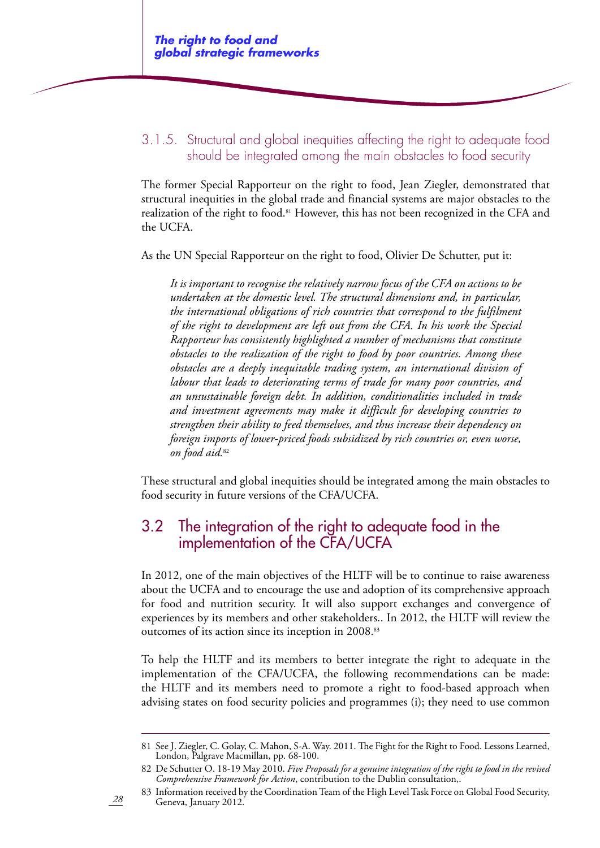### 3.1.5. Structural and global inequities affecting the right to adequate food should be integrated among the main obstacles to food security

The former Special Rapporteur on the right to food, Jean Ziegler, demonstrated that structural inequities in the global trade and financial systems are major obstacles to the realization of the right to food.<sup>81</sup> However, this has not been recognized in the CFA and the UCFA.

As the UN Special Rapporteur on the right to food, Olivier De Schutter, put it:

*It is important to recognise the relatively narrow focus of the CFA on actions to be undertaken at the domestic level. The structural dimensions and, in particular, the international obligations of rich countries that correspond to the fulfilment of the right to development are left out from the CFA. In his work the Special Rapporteur has consistently highlighted a number of mechanisms that constitute obstacles to the realization of the right to food by poor countries. Among these obstacles are a deeply inequitable trading system, an international division of labour that leads to deteriorating terms of trade for many poor countries, and an unsustainable foreign debt. In addition, conditionalities included in trade and investment agreements may make it difficult for developing countries to strengthen their ability to feed themselves, and thus increase their dependency on foreign imports of lower-priced foods subsidized by rich countries or, even worse, on food aid.*<sup>82</sup>

These structural and global inequities should be integrated among the main obstacles to food security in future versions of the CFA/UCFA.

# 3.2 The integration of the right to adequate food in the implementation of the CFA/UCFA

In 2012, one of the main objectives of the HLTF will be to continue to raise awareness about the UCFA and to encourage the use and adoption of its comprehensive approach for food and nutrition security. It will also support exchanges and convergence of experiences by its members and other stakeholders.. In 2012, the HLTF will review the outcomes of its action since its inception in 2008.83

To help the HLTF and its members to better integrate the right to adequate in the implementation of the CFA/UCFA, the following recommendations can be made: the HLTF and its members need to promote a right to food-based approach when advising states on food security policies and programmes (i); they need to use common

<sup>81</sup> See J. Ziegler, C. Golay, C. Mahon, S-A. Way. 2011. The Fight for the Right to Food. Lessons Learned, London, Palgrave Macmillan, pp. 68-100.

<sup>82</sup> De Schutter O. 18-19 May 2010. *Five Proposals for a genuine integration of the right to food in the revised Comprehensive Framework for Action*, contribution to the Dublin consultation,.

<sup>83</sup> Information received by the Coordination Team of the High Level Task Force on Global Food Security, Geneva, January 2012.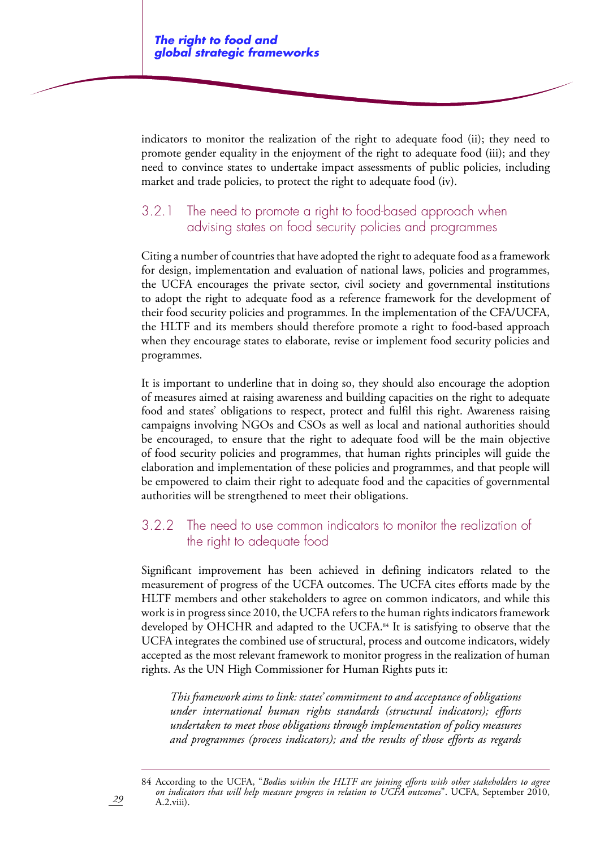indicators to monitor the realization of the right to adequate food (ii); they need to promote gender equality in the enjoyment of the right to adequate food (iii); and they need to convince states to undertake impact assessments of public policies, including market and trade policies, to protect the right to adequate food (iv).

## 3.2.1 The need to promote a right to food-based approach when advising states on food security policies and programmes

Citing a number of countries that have adopted the right to adequate food as a framework for design, implementation and evaluation of national laws, policies and programmes, the UCFA encourages the private sector, civil society and governmental institutions to adopt the right to adequate food as a reference framework for the development of their food security policies and programmes. In the implementation of the CFA/UCFA, the HLTF and its members should therefore promote a right to food-based approach when they encourage states to elaborate, revise or implement food security policies and programmes.

It is important to underline that in doing so, they should also encourage the adoption of measures aimed at raising awareness and building capacities on the right to adequate food and states' obligations to respect, protect and fulfil this right. Awareness raising campaigns involving NGOs and CSOs as well as local and national authorities should be encouraged, to ensure that the right to adequate food will be the main objective of food security policies and programmes, that human rights principles will guide the elaboration and implementation of these policies and programmes, and that people will be empowered to claim their right to adequate food and the capacities of governmental authorities will be strengthened to meet their obligations.

### 3.2.2 The need to use common indicators to monitor the realization of the right to adequate food

Significant improvement has been achieved in defining indicators related to the measurement of progress of the UCFA outcomes. The UCFA cites efforts made by the HLTF members and other stakeholders to agree on common indicators, and while this work is in progress since 2010, the UCFA refers to the human rights indicators framework developed by OHCHR and adapted to the UCFA.<sup>84</sup> It is satisfying to observe that the UCFA integrates the combined use of structural, process and outcome indicators, widely accepted as the most relevant framework to monitor progress in the realization of human rights. As the UN High Commissioner for Human Rights puts it:

*This framework aims to link: states' commitment to and acceptance of obligations under international human rights standards (structural indicators); efforts undertaken to meet those obligations through implementation of policy measures and programmes (process indicators); and the results of those efforts as regards* 

84 According to the UCFA, "*Bodies within the HLTF are joining efforts with other stakeholders to agree on indicators that will help measure progress in relation to UCFA outcomes*". UCFA, September 2010, A.2.viii).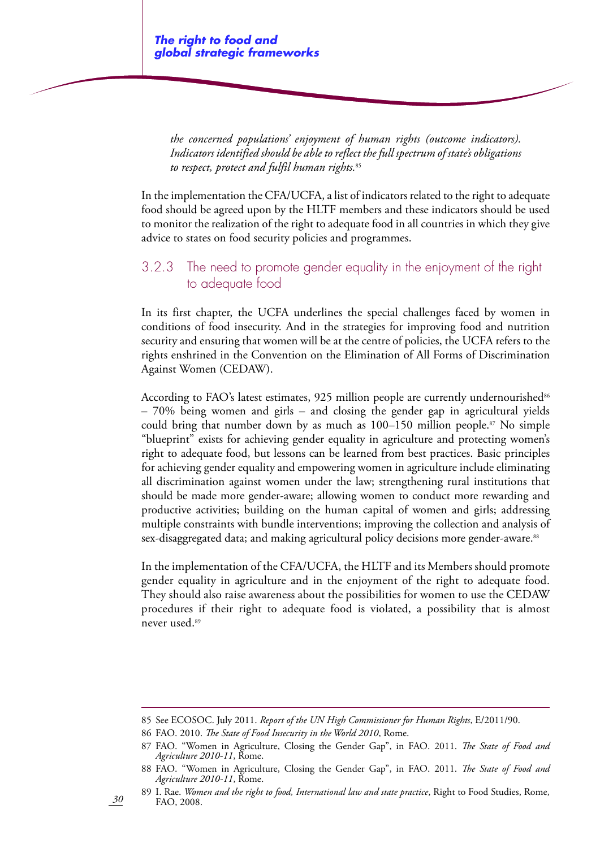*the concerned populations' enjoyment of human rights (outcome indicators). Indicators identified should be able to reflect the full spectrum of state's obligations to respect, protect and fulfil human rights.*<sup>85</sup>

In the implementation the CFA/UCFA, a list of indicators related to the right to adequate food should be agreed upon by the HLTF members and these indicators should be used to monitor the realization of the right to adequate food in all countries in which they give advice to states on food security policies and programmes.

### 3.2.3 The need to promote gender equality in the enjoyment of the right to adequate food

In its first chapter, the UCFA underlines the special challenges faced by women in conditions of food insecurity. And in the strategies for improving food and nutrition security and ensuring that women will be at the centre of policies, the UCFA refers to the rights enshrined in the Convention on the Elimination of All Forms of Discrimination Against Women (CEDAW).

According to FAO's latest estimates,  $925$  million people are currently undernourished<sup>86</sup> – 70% being women and girls – and closing the gender gap in agricultural yields could bring that number down by as much as  $100-150$  million people.<sup>87</sup> No simple "blueprint" exists for achieving gender equality in agriculture and protecting women's right to adequate food, but lessons can be learned from best practices. Basic principles for achieving gender equality and empowering women in agriculture include eliminating all discrimination against women under the law; strengthening rural institutions that should be made more gender-aware; allowing women to conduct more rewarding and productive activities; building on the human capital of women and girls; addressing multiple constraints with bundle interventions; improving the collection and analysis of sex-disaggregated data; and making agricultural policy decisions more gender-aware.<sup>88</sup>

In the implementation of the CFA/UCFA, the HLTF and its Members should promote gender equality in agriculture and in the enjoyment of the right to adequate food. They should also raise awareness about the possibilities for women to use the CEDAW procedures if their right to adequate food is violated, a possibility that is almost never used.<sup>89</sup>

86 FAO. 2010. *The State of Food Insecurity in the World 2010*, Rome.

<sup>85</sup> See ECOSOC. July 2011. *Report of the UN High Commissioner for Human Rights*, E/2011/90.

<sup>87</sup> FAO. "Women in Agriculture, Closing the Gender Gap", in FAO. 2011. *The State of Food and Agriculture 2010-11*, Rome.

<sup>88</sup> FAO. "Women in Agriculture, Closing the Gender Gap", in FAO. 2011. *The State of Food and Agriculture 2010-11*, Rome.

<sup>89</sup> I. Rae. *Women and the right to food, International law and state practice*, Right to Food Studies, Rome, FAO, 2008.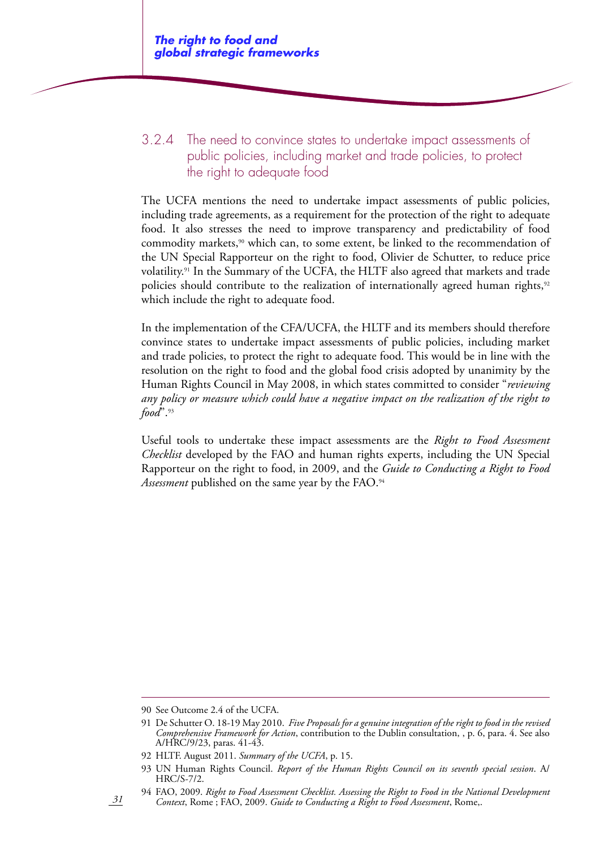### 3.2.4 The need to convince states to undertake impact assessments of public policies, including market and trade policies, to protect the right to adequate food

The UCFA mentions the need to undertake impact assessments of public policies, including trade agreements, as a requirement for the protection of the right to adequate food. It also stresses the need to improve transparency and predictability of food commodity markets,<sup>90</sup> which can, to some extent, be linked to the recommendation of the UN Special Rapporteur on the right to food, Olivier de Schutter, to reduce price volatility.91 In the Summary of the UCFA, the HLTF also agreed that markets and trade policies should contribute to the realization of internationally agreed human rights,<sup>92</sup> which include the right to adequate food.

In the implementation of the CFA/UCFA, the HLTF and its members should therefore convince states to undertake impact assessments of public policies, including market and trade policies, to protect the right to adequate food. This would be in line with the resolution on the right to food and the global food crisis adopted by unanimity by the Human Rights Council in May 2008, in which states committed to consider "*reviewing any policy or measure which could have a negative impact on the realization of the right to food*".93

Useful tools to undertake these impact assessments are the *Right to Food Assessment Checklist* developed by the FAO and human rights experts, including the UN Special Rapporteur on the right to food, in 2009, and the *Guide to Conducting a Right to Food Assessment* published on the same year by the FAO.94

<sup>90</sup> See Outcome 2.4 of the UCFA.

<sup>91</sup> De Schutter O. 18-19 May 2010. *Five Proposals for a genuine integration of the right to food in the revised Comprehensive Framework for Action*, contribution to the Dublin consultation, , p. 6, para. 4. See also A/HRC/9/23, paras. 41-43.

<sup>92</sup> HLTF. August 2011. *Summary of the UCFA*, p. 15.

<sup>93</sup> UN Human Rights Council. *Report of the Human Rights Council on its seventh special session*. A/ HRC/S-7/2.

<sup>94</sup> FAO, 2009. *Right to Food Assessment Checklist. Assessing the Right to Food in the National Development Context*, Rome ; FAO, 2009. *Guide to Conducting a Right to Food Assessment*, Rome,.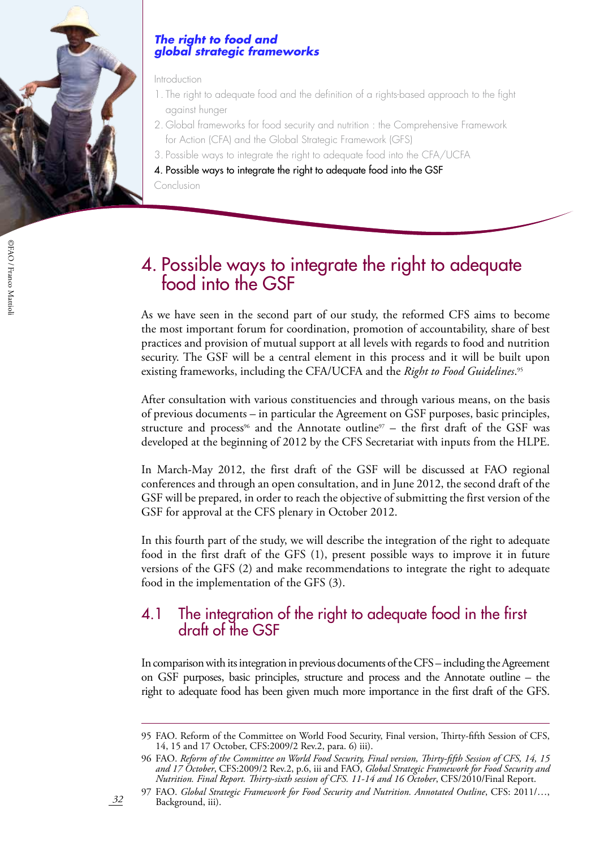

#### *The right to food and global strategic frameworks*

Introduction

- 1. The right to adequate food and the definition of a rights-based approach to the fight against hunger
- 2. Global frameworks for food security and nutrition : the Comprehensive Framework for Action (CFA) and the Global Strategic Framework (GFS)
- 3. Possible ways to integrate the right to adequate food into the CFA/UCFA
- 4. Possible ways to integrate the right to adequate food into the GSF

Conclusion

# 4. Possible ways to integrate the right to adequate food into the GSF

As we have seen in the second part of our study, the reformed CFS aims to become the most important forum for coordination, promotion of accountability, share of best practices and provision of mutual support at all levels with regards to food and nutrition security. The GSF will be a central element in this process and it will be built upon existing frameworks, including the CFA/UCFA and the *Right to Food Guidelines*. 95

After consultation with various constituencies and through various means, on the basis of previous documents – in particular the Agreement on GSF purposes, basic principles, structure and process<sup>96</sup> and the Annotate outline<sup>97</sup> – the first draft of the GSF was developed at the beginning of 2012 by the CFS Secretariat with inputs from the HLPE.

In March-May 2012, the first draft of the GSF will be discussed at FAO regional conferences and through an open consultation, and in June 2012, the second draft of the GSF will be prepared, in order to reach the objective of submitting the first version of the GSF for approval at the CFS plenary in October 2012.

In this fourth part of the study, we will describe the integration of the right to adequate food in the first draft of the GFS (1), present possible ways to improve it in future versions of the GFS (2) and make recommendations to integrate the right to adequate food in the implementation of the GFS (3).

# 4.1 The integration of the right to adequate food in the first draft of the GSF

In comparison with its integration in previous documents of the CFS – including the Agreement on GSF purposes, basic principles, structure and process and the Annotate outline – the right to adequate food has been given much more importance in the first draft of the GFS.

<sup>95</sup> FAO. Reform of the Committee on World Food Security, Final version, Thirty-fifth Session of CFS, 14, 15 and 17 October, CFS:2009/2 Rev.2, para. 6) iii).

<sup>96</sup> FAO. *Reform of the Committee on World Food Security, Final version, Thirty-fifth Session of CFS, 14, 15 and 17 October*, CFS:2009/2 Rev.2, p.6, iii and FAO, *Global Strategic Framework for Food Security and Nutrition. Final Report. Thirty-sixth session of CFS. 11-14 and 16 October*, CFS/2010/Final Report.

<sup>97</sup> FAO. *Global Strategic Framework for Food Security and Nutrition. Annotated Outline*, CFS: 2011/…, Background, iii).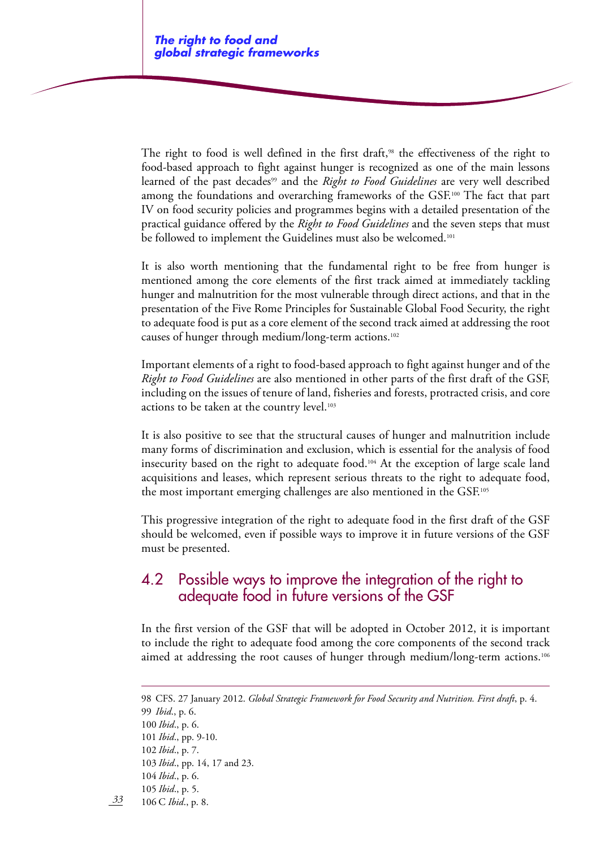The right to food is well defined in the first draft,<sup>98</sup> the effectiveness of the right to food-based approach to fight against hunger is recognized as one of the main lessons learned of the past decades<sup>99</sup> and the *Right to Food Guidelines* are very well described among the foundations and overarching frameworks of the GSF.100 The fact that part IV on food security policies and programmes begins with a detailed presentation of the practical guidance offered by the *Right to Food Guidelines* and the seven steps that must be followed to implement the Guidelines must also be welcomed.<sup>101</sup>

It is also worth mentioning that the fundamental right to be free from hunger is mentioned among the core elements of the first track aimed at immediately tackling hunger and malnutrition for the most vulnerable through direct actions, and that in the presentation of the Five Rome Principles for Sustainable Global Food Security, the right to adequate food is put as a core element of the second track aimed at addressing the root causes of hunger through medium/long-term actions.102

Important elements of a right to food-based approach to fight against hunger and of the *Right to Food Guidelines* are also mentioned in other parts of the first draft of the GSF, including on the issues of tenure of land, fisheries and forests, protracted crisis, and core actions to be taken at the country level.<sup>103</sup>

It is also positive to see that the structural causes of hunger and malnutrition include many forms of discrimination and exclusion, which is essential for the analysis of food insecurity based on the right to adequate food.<sup>104</sup> At the exception of large scale land acquisitions and leases, which represent serious threats to the right to adequate food, the most important emerging challenges are also mentioned in the GSF.105

This progressive integration of the right to adequate food in the first draft of the GSF should be welcomed, even if possible ways to improve it in future versions of the GSF must be presented.

## 4.2 Possible ways to improve the integration of the right to adequate food in future versions of the GSF

In the first version of the GSF that will be adopted in October 2012, it is important to include the right to adequate food among the core components of the second track aimed at addressing the root causes of hunger through medium/long-term actions.106

100 *Ibid*., p. 6.

101 *Ibid*., pp. 9-10.

- 102 *Ibid*., p. 7.
- 103 *Ibid*., pp. 14, 17 and 23.

<sup>98</sup> CFS. 27 January 2012. *Global Strategic Framework for Food Security and Nutrition. First draft*, p. 4. 99 *Ibid*., p. 6.

<sup>104</sup> *Ibid*., p. 6.

<sup>105</sup> *Ibid*., p. 5.

*<sup>33</sup>* 106 C *Ibid*., p. 8.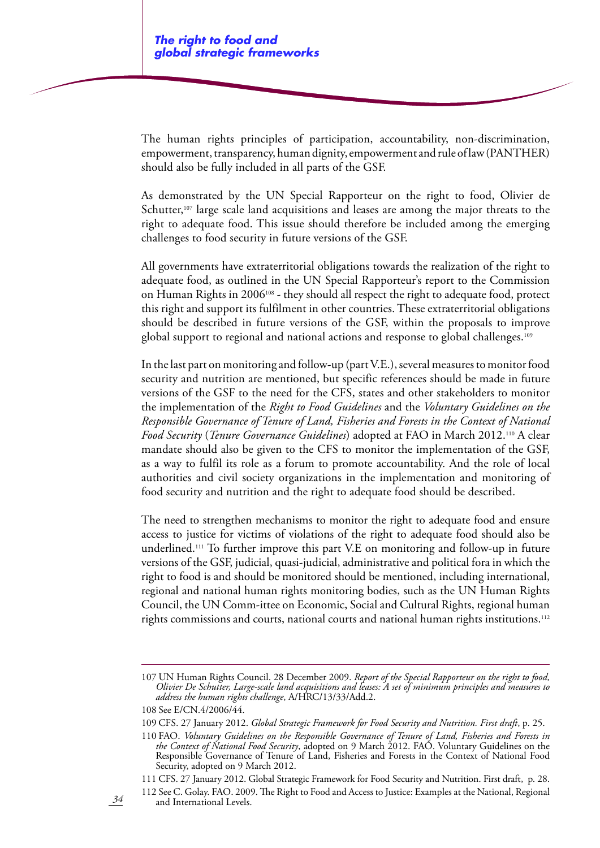The human rights principles of participation, accountability, non-discrimination, empowerment, transparency, human dignity, empowerment and rule of law (PANTHER) should also be fully included in all parts of the GSF.

As demonstrated by the UN Special Rapporteur on the right to food, Olivier de Schutter,<sup>107</sup> large scale land acquisitions and leases are among the major threats to the right to adequate food. This issue should therefore be included among the emerging challenges to food security in future versions of the GSF.

All governments have extraterritorial obligations towards the realization of the right to adequate food, as outlined in the UN Special Rapporteur's report to the Commission on Human Rights in 2006108 - they should all respect the right to adequate food, protect this right and support its fulfilment in other countries. These extraterritorial obligations should be described in future versions of the GSF, within the proposals to improve global support to regional and national actions and response to global challenges.109

In the last part on monitoring and follow-up (part V.E.), several measures to monitor food security and nutrition are mentioned, but specific references should be made in future versions of the GSF to the need for the CFS, states and other stakeholders to monitor the implementation of the *Right to Food Guidelines* and the *Voluntary Guidelines on the Responsible Governance of Tenure of Land, Fisheries and Forests in the Context of National Food Security* (*Tenure Governance Guidelines*) adopted at FAO in March 2012.110 A clear mandate should also be given to the CFS to monitor the implementation of the GSF, as a way to fulfil its role as a forum to promote accountability. And the role of local authorities and civil society organizations in the implementation and monitoring of food security and nutrition and the right to adequate food should be described.

The need to strengthen mechanisms to monitor the right to adequate food and ensure access to justice for victims of violations of the right to adequate food should also be underlined.111 To further improve this part V.E on monitoring and follow-up in future versions of the GSF, judicial, quasi-judicial, administrative and political fora in which the right to food is and should be monitored should be mentioned, including international, regional and national human rights monitoring bodies, such as the UN Human Rights Council, the UN Comm-ittee on Economic, Social and Cultural Rights, regional human rights commissions and courts, national courts and national human rights institutions.112

<sup>107</sup> UN Human Rights Council. 28 December 2009. *Report of the Special Rapporteur on the right to food, Olivier De Schutter, Large-scale land acquisitions and leases: A set of minimum principles and measures to address the human rights challenge*, A/HRC/13/33/Add.2.

<sup>108</sup> See E/CN.4/2006/44.

<sup>109</sup> CFS. 27 January 2012. *Global Strategic Framework for Food Security and Nutrition. First draft*, p. 25.

<sup>110</sup> FAO. *Voluntary Guidelines on the Responsible Governance of Tenure of Land, Fisheries and Forests in the Context of National Food Security*, adopted on 9 March 2012. FAO. Voluntary Guidelines on the Responsible Governance of Tenure of Land, Fisheries and Forests in the Context of National Food Security, adopted on 9 March 2012.

<sup>111</sup> CFS. 27 January 2012. Global Strategic Framework for Food Security and Nutrition. First draft, p. 28.

<sup>112</sup> See C. Golay. FAO. 2009. The Right to Food and Access to Justice: Examples at the National, Regional and International Levels.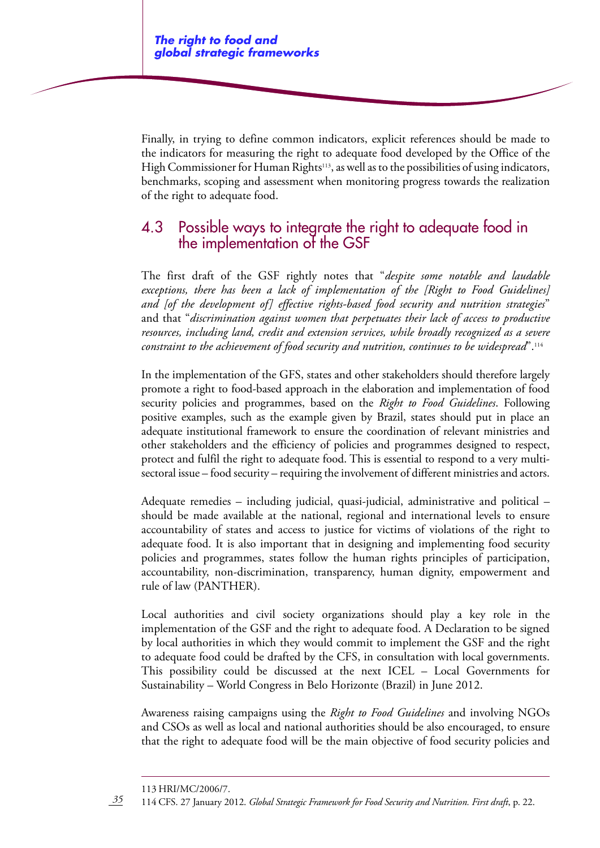Finally, in trying to define common indicators, explicit references should be made to the indicators for measuring the right to adequate food developed by the Office of the High Commissioner for Human Rights $113$ , as well as to the possibilities of using indicators, benchmarks, scoping and assessment when monitoring progress towards the realization of the right to adequate food.

## 4.3 Possible ways to integrate the right to adequate food in the implementation of the GSF

The first draft of the GSF rightly notes that "*despite some notable and laudable exceptions, there has been a lack of implementation of the [Right to Food Guidelines] and [of the development of] effective rights-based food security and nutrition strategies*" and that "*discrimination against women that perpetuates their lack of access to productive resources, including land, credit and extension services, while broadly recognized as a severe constraint to the achievement of food security and nutrition, continues to be widespread*".114

In the implementation of the GFS, states and other stakeholders should therefore largely promote a right to food-based approach in the elaboration and implementation of food security policies and programmes, based on the *Right to Food Guidelines*. Following positive examples, such as the example given by Brazil, states should put in place an adequate institutional framework to ensure the coordination of relevant ministries and other stakeholders and the efficiency of policies and programmes designed to respect, protect and fulfil the right to adequate food. This is essential to respond to a very multisectoral issue – food security – requiring the involvement of different ministries and actors.

Adequate remedies – including judicial, quasi-judicial, administrative and political – should be made available at the national, regional and international levels to ensure accountability of states and access to justice for victims of violations of the right to adequate food. It is also important that in designing and implementing food security policies and programmes, states follow the human rights principles of participation, accountability, non-discrimination, transparency, human dignity, empowerment and rule of law (PANTHER).

Local authorities and civil society organizations should play a key role in the implementation of the GSF and the right to adequate food. A Declaration to be signed by local authorities in which they would commit to implement the GSF and the right to adequate food could be drafted by the CFS, in consultation with local governments. This possibility could be discussed at the next ICEL – Local Governments for Sustainability – World Congress in Belo Horizonte (Brazil) in June 2012.

Awareness raising campaigns using the *Right to Food Guidelines* and involving NGOs and CSOs as well as local and national authorities should be also encouraged, to ensure that the right to adequate food will be the main objective of food security policies and

<sup>113</sup> HRI/MC/2006/7.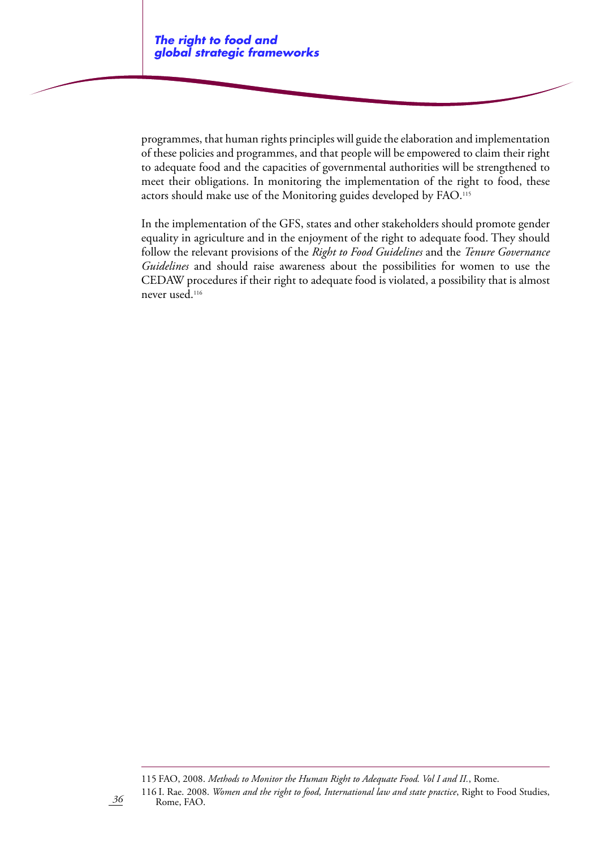programmes, that human rights principles will guide the elaboration and implementation of these policies and programmes, and that people will be empowered to claim their right to adequate food and the capacities of governmental authorities will be strengthened to meet their obligations. In monitoring the implementation of the right to food, these actors should make use of the Monitoring guides developed by FAO.115

In the implementation of the GFS, states and other stakeholders should promote gender equality in agriculture and in the enjoyment of the right to adequate food. They should follow the relevant provisions of the *Right to Food Guidelines* and the *Tenure Governance Guidelines* and should raise awareness about the possibilities for women to use the CEDAW procedures if their right to adequate food is violated, a possibility that is almost never used.116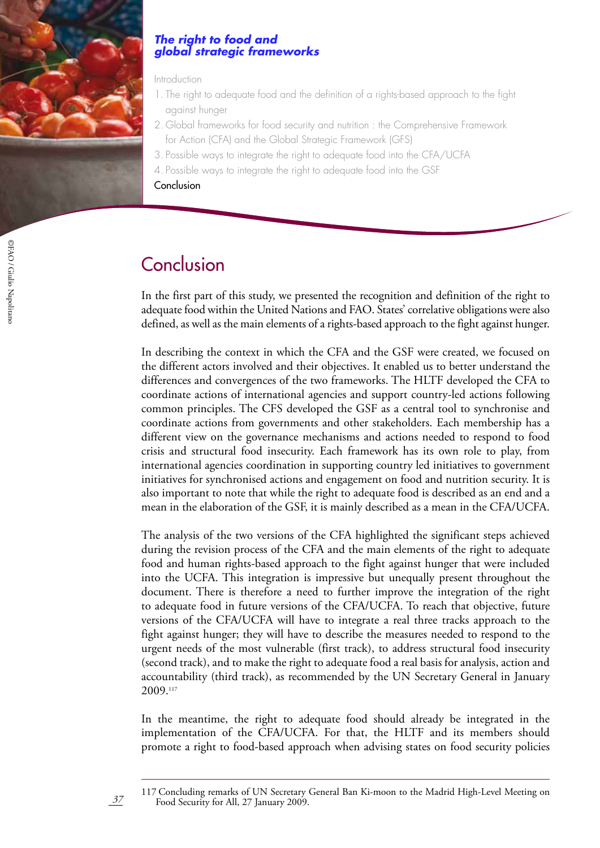

#### *The right to food and global strategic frameworks*

#### Introduction

- 1. The right to adequate food and the definition of a rights-based approach to the fight against hunger
- 2. Global frameworks for food security and nutrition : the Comprehensive Framework for Action (CFA) and the Global Strategic Framework (GFS)
- 3. Possible ways to integrate the right to adequate food into the CFA/UCFA
- 4. Possible ways to integrate the right to adequate food into the GSF
- **Conclusion**

# **Conclusion**

In the first part of this study, we presented the recognition and definition of the right to adequate food within the United Nations and FAO. States' correlative obligations were also defined, as well as the main elements of a rights-based approach to the fight against hunger.

In describing the context in which the CFA and the GSF were created, we focused on the different actors involved and their objectives. It enabled us to better understand the differences and convergences of the two frameworks. The HLTF developed the CFA to coordinate actions of international agencies and support country-led actions following common principles. The CFS developed the GSF as a central tool to synchronise and coordinate actions from governments and other stakeholders. Each membership has a different view on the governance mechanisms and actions needed to respond to food crisis and structural food insecurity. Each framework has its own role to play, from international agencies coordination in supporting country led initiatives to government initiatives for synchronised actions and engagement on food and nutrition security. It is also important to note that while the right to adequate food is described as an end and a mean in the elaboration of the GSF, it is mainly described as a mean in the CFA/UCFA.

The analysis of the two versions of the CFA highlighted the significant steps achieved during the revision process of the CFA and the main elements of the right to adequate food and human rights-based approach to the fight against hunger that were included into the UCFA. This integration is impressive but unequally present throughout the document. There is therefore a need to further improve the integration of the right to adequate food in future versions of the CFA/UCFA. To reach that objective, future versions of the CFA/UCFA will have to integrate a real three tracks approach to the fight against hunger; they will have to describe the measures needed to respond to the urgent needs of the most vulnerable (first track), to address structural food insecurity (second track), and to make the right to adequate food a real basis for analysis, action and accountability (third track), as recommended by the UN Secretary General in January 2009.117

In the meantime, the right to adequate food should already be integrated in the implementation of the CFA/UCFA. For that, the HLTF and its members should promote a right to food-based approach when advising states on food security policies

<sup>117</sup> Concluding remarks of UN Secretary General Ban Ki-moon to the Madrid High-Level Meeting on Food Security for All, 27 January 2009.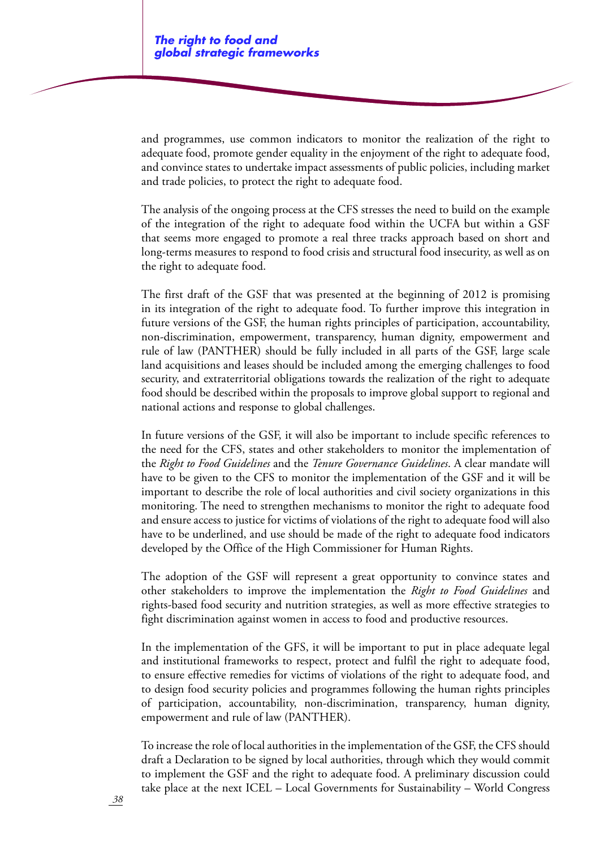and programmes, use common indicators to monitor the realization of the right to adequate food, promote gender equality in the enjoyment of the right to adequate food, and convince states to undertake impact assessments of public policies, including market and trade policies, to protect the right to adequate food.

The analysis of the ongoing process at the CFS stresses the need to build on the example of the integration of the right to adequate food within the UCFA but within a GSF that seems more engaged to promote a real three tracks approach based on short and long-terms measures to respond to food crisis and structural food insecurity, as well as on the right to adequate food.

The first draft of the GSF that was presented at the beginning of 2012 is promising in its integration of the right to adequate food. To further improve this integration in future versions of the GSF, the human rights principles of participation, accountability, non-discrimination, empowerment, transparency, human dignity, empowerment and rule of law (PANTHER) should be fully included in all parts of the GSF, large scale land acquisitions and leases should be included among the emerging challenges to food security, and extraterritorial obligations towards the realization of the right to adequate food should be described within the proposals to improve global support to regional and national actions and response to global challenges.

In future versions of the GSF, it will also be important to include specific references to the need for the CFS, states and other stakeholders to monitor the implementation of the *Right to Food Guidelines* and the *Tenure Governance Guidelines*. A clear mandate will have to be given to the CFS to monitor the implementation of the GSF and it will be important to describe the role of local authorities and civil society organizations in this monitoring. The need to strengthen mechanisms to monitor the right to adequate food and ensure access to justice for victims of violations of the right to adequate food will also have to be underlined, and use should be made of the right to adequate food indicators developed by the Office of the High Commissioner for Human Rights.

The adoption of the GSF will represent a great opportunity to convince states and other stakeholders to improve the implementation the *Right to Food Guidelines* and rights-based food security and nutrition strategies, as well as more effective strategies to fight discrimination against women in access to food and productive resources.

In the implementation of the GFS, it will be important to put in place adequate legal and institutional frameworks to respect, protect and fulfil the right to adequate food, to ensure effective remedies for victims of violations of the right to adequate food, and to design food security policies and programmes following the human rights principles of participation, accountability, non-discrimination, transparency, human dignity, empowerment and rule of law (PANTHER).

To increase the role of local authorities in the implementation of the GSF, the CFS should draft a Declaration to be signed by local authorities, through which they would commit to implement the GSF and the right to adequate food. A preliminary discussion could take place at the next ICEL – Local Governments for Sustainability – World Congress